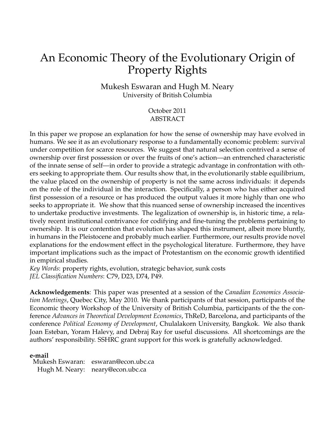# An Economic Theory of the Evolutionary Origin of Property Rights

Mukesh Eswaran and Hugh M. Neary University of British Columbia

> October 2011 **ABSTRACT**

In this paper we propose an explanation for how the sense of ownership may have evolved in humans. We see it as an evolutionary response to a fundamentally economic problem: survival under competition for scarce resources. We suggest that natural selection contrived a sense of ownership over first possession or over the fruits of one's action—an entrenched characteristic of the innate sense of self—in order to provide a strategic advantage in confrontation with others seeking to appropriate them. Our results show that, in the evolutionarily stable equilibrium, the value placed on the ownership of property is not the same across individuals: it depends on the role of the individual in the interaction. Specifically, a person who has either acquired first possession of a resource or has produced the output values it more highly than one who seeks to appropriate it. We show that this nuanced sense of ownership increased the incentives to undertake productive investments. The legalization of ownership is, in historic time, a relatively recent institutional contrivance for codifying and fine-tuning the problems pertaining to ownership. It is our contention that evolution has shaped this instrument, albeit more bluntly, in humans in the Pleistocene and probably much earlier. Furthermore, our results provide novel explanations for the endowment effect in the psychological literature. Furthermore, they have important implications such as the impact of Protestantism on the economic growth identified in empirical studies.

*Key Words*: property rights, evolution, strategic behavior, sunk costs *JEL Classification Numbers*: C79, D23, D74, P49.

**Acknowledgements**: This paper was presented at a session of the *Canadian Economics Association Meetings*, Quebec City, May 2010. We thank participants of that session, participants of the Economic theory Workshop of the University of British Columbia, participants of the the conference *Advances in Theoretical Development Economics*, ThReD, Barcelona, and participants of the conference *Political Economy of Development*, Chulalakorn University, Bangkok. We also thank Joan Esteban, Yoram Halevy, and Debraj Ray for useful discussions. All shortcomings are the authors' responsibility. SSHRC grant support for this work is gratefully acknowledged.

#### **e-mail**

Mukesh Eswaran: eswaran@econ.ubc.ca Hugh M. Neary: neary@econ.ubc.ca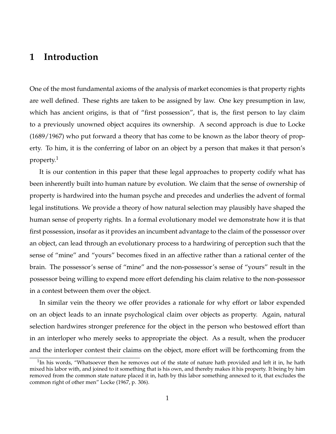## **1 Introduction**

One of the most fundamental axioms of the analysis of market economies is that property rights are well defined. These rights are taken to be assigned by law. One key presumption in law, which has ancient origins, is that of "first possession", that is, the first person to lay claim to a previously unowned object acquires its ownership. A second approach is due to Locke (1689/1967) who put forward a theory that has come to be known as the labor theory of property. To him, it is the conferring of labor on an object by a person that makes it that person's property.<sup>1</sup>

It is our contention in this paper that these legal approaches to property codify what has been inherently built into human nature by evolution. We claim that the sense of ownership of property is hardwired into the human psyche and precedes and underlies the advent of formal legal institutions. We provide a theory of how natural selection may plausibly have shaped the human sense of property rights. In a formal evolutionary model we demonstrate how it is that first possession, insofar as it provides an incumbent advantage to the claim of the possessor over an object, can lead through an evolutionary process to a hardwiring of perception such that the sense of "mine" and "yours" becomes fixed in an affective rather than a rational center of the brain. The possessor's sense of "mine" and the non-possessor's sense of "yours" result in the possessor being willing to expend more effort defending his claim relative to the non-possessor in a contest between them over the object.

In similar vein the theory we offer provides a rationale for why effort or labor expended on an object leads to an innate psychological claim over objects as property. Again, natural selection hardwires stronger preference for the object in the person who bestowed effort than in an interloper who merely seeks to appropriate the object. As a result, when the producer and the interloper contest their claims on the object, more effort will be forthcoming from the

 $1$ In his words, "Whatsoever then he removes out of the state of nature hath provided and left it in, he hath mixed his labor with, and joined to it something that is his own, and thereby makes it his property. It being by him removed from the common state nature placed it in, hath by this labor something annexed to it, that excludes the common right of other men" Locke (1967, p. 306).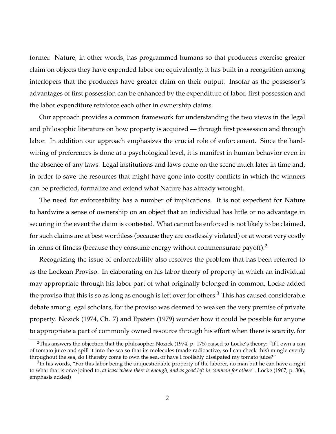former. Nature, in other words, has programmed humans so that producers exercise greater claim on objects they have expended labor on; equivalently, it has built in a recognition among interlopers that the producers have greater claim on their output. Insofar as the possessor's advantages of first possession can be enhanced by the expenditure of labor, first possession and the labor expenditure reinforce each other in ownership claims.

Our approach provides a common framework for understanding the two views in the legal and philosophic literature on how property is acquired — through first possession and through labor. In addition our approach emphasizes the crucial role of enforcement. Since the hardwiring of preferences is done at a psychological level, it is manifest in human behavior even in the absence of any laws. Legal institutions and laws come on the scene much later in time and, in order to save the resources that might have gone into costly conflicts in which the winners can be predicted, formalize and extend what Nature has already wrought.

The need for enforceability has a number of implications. It is not expedient for Nature to hardwire a sense of ownership on an object that an individual has little or no advantage in securing in the event the claim is contested. What cannot be enforced is not likely to be claimed, for such claims are at best worthless (because they are costlessly violated) or at worst very costly in terms of fitness (because they consume energy without commensurate payoff).<sup>2</sup>

Recognizing the issue of enforceability also resolves the problem that has been referred to as the Lockean Proviso. In elaborating on his labor theory of property in which an individual may appropriate through his labor part of what originally belonged in common, Locke added the proviso that this is so as long as enough is left over for others.<sup>3</sup> This has caused considerable debate among legal scholars, for the proviso was deemed to weaken the very premise of private property. Nozick (1974, Ch. 7) and Epstein (1979) wonder how it could be possible for anyone to appropriate a part of commonly owned resource through his effort when there is scarcity, for

<sup>&</sup>lt;sup>2</sup>This answers the objection that the philosopher Nozick (1974, p. 175) raised to Locke's theory: "If I own a can of tomato juice and spill it into the sea so that its molecules (made radioactive, so I can check this) mingle evenly throughout the sea, do I thereby come to own the sea, or have I foolishly dissipated my tomato juice?"

 $3$ In his words, "For this labor being the unquestionable property of the laborer, no man but he can have a right to what that is once joined to, *at least where there is enough, and as good left in common for others*". Locke (1967, p. 306, emphasis added)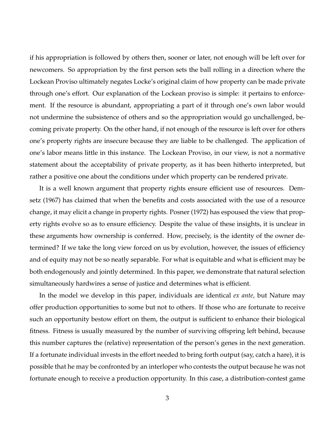if his appropriation is followed by others then, sooner or later, not enough will be left over for newcomers. So appropriation by the first person sets the ball rolling in a direction where the Lockean Proviso ultimately negates Locke's original claim of how property can be made private through one's effort. Our explanation of the Lockean proviso is simple: it pertains to enforcement. If the resource is abundant, appropriating a part of it through one's own labor would not undermine the subsistence of others and so the appropriation would go unchallenged, becoming private property. On the other hand, if not enough of the resource is left over for others one's property rights are insecure because they are liable to be challenged. The application of one's labor means little in this instance. The Lockean Proviso, in our view, is not a normative statement about the acceptability of private property, as it has been hitherto interpreted, but rather a positive one about the conditions under which property can be rendered private.

It is a well known argument that property rights ensure efficient use of resources. Demsetz (1967) has claimed that when the benefits and costs associated with the use of a resource change, it may elicit a change in property rights. Posner (1972) has espoused the view that property rights evolve so as to ensure efficiency. Despite the value of these insights, it is unclear in these arguments how ownership is conferred. How, precisely, is the identity of the owner determined? If we take the long view forced on us by evolution, however, the issues of efficiency and of equity may not be so neatly separable. For what is equitable and what is efficient may be both endogenously and jointly determined. In this paper, we demonstrate that natural selection simultaneously hardwires a sense of justice and determines what is efficient.

In the model we develop in this paper, individuals are identical *ex ante*, but Nature may offer production opportunities to some but not to others. If those who are fortunate to receive such an opportunity bestow effort on them, the output is sufficient to enhance their biological fitness. Fitness is usually measured by the number of surviving offspring left behind, because this number captures the (relative) representation of the person's genes in the next generation. If a fortunate individual invests in the effort needed to bring forth output (say, catch a hare), it is possible that he may be confronted by an interloper who contests the output because he was not fortunate enough to receive a production opportunity. In this case, a distribution-contest game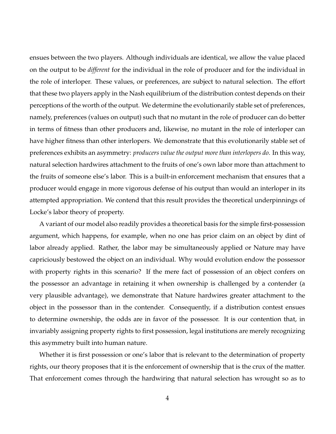ensues between the two players. Although individuals are identical, we allow the value placed on the output to be *different* for the individual in the role of producer and for the individual in the role of interloper. These values, or preferences, are subject to natural selection. The effort that these two players apply in the Nash equilibrium of the distribution contest depends on their perceptions of the worth of the output. We determine the evolutionarily stable set of preferences, namely, preferences (values on output) such that no mutant in the role of producer can do better in terms of fitness than other producers and, likewise, no mutant in the role of interloper can have higher fitness than other interlopers. We demonstrate that this evolutionarily stable set of preferences exhibits an asymmetry: *producers value the output more than interlopers do*. In this way, natural selection hardwires attachment to the fruits of one's own labor more than attachment to the fruits of someone else's labor. This is a built-in enforcement mechanism that ensures that a producer would engage in more vigorous defense of his output than would an interloper in its attempted appropriation. We contend that this result provides the theoretical underpinnings of Locke's labor theory of property.

A variant of our model also readily provides a theoretical basis for the simple first-possession argument, which happens, for example, when no one has prior claim on an object by dint of labor already applied. Rather, the labor may be simultaneously applied or Nature may have capriciously bestowed the object on an individual. Why would evolution endow the possessor with property rights in this scenario? If the mere fact of possession of an object confers on the possessor an advantage in retaining it when ownership is challenged by a contender (a very plausible advantage), we demonstrate that Nature hardwires greater attachment to the object in the possessor than in the contender. Consequently, if a distribution contest ensues to determine ownership, the odds are in favor of the possessor. It is our contention that, in invariably assigning property rights to first possession, legal institutions are merely recognizing this asymmetry built into human nature.

Whether it is first possession or one's labor that is relevant to the determination of property rights, our theory proposes that it is the enforcement of ownership that is the crux of the matter. That enforcement comes through the hardwiring that natural selection has wrought so as to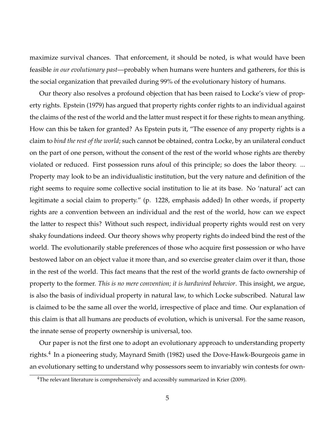maximize survival chances. That enforcement, it should be noted, is what would have been feasible *in our evolutionary past*—probably when humans were hunters and gatherers, for this is the social organization that prevailed during 99% of the evolutionary history of humans.

Our theory also resolves a profound objection that has been raised to Locke's view of property rights. Epstein (1979) has argued that property rights confer rights to an individual against the claims of the rest of the world and the latter must respect it for these rights to mean anything. How can this be taken for granted? As Epstein puts it, "The essence of any property rights is a claim to *bind the rest of the world*; such cannot be obtained, contra Locke, by an unilateral conduct on the part of one person, without the consent of the rest of the world whose rights are thereby violated or reduced. First possession runs afoul of this principle; so does the labor theory. ... Property may look to be an individualistic institution, but the very nature and definition of the right seems to require some collective social institution to lie at its base. No 'natural' act can legitimate a social claim to property." (p. 1228, emphasis added) In other words, if property rights are a convention between an individual and the rest of the world, how can we expect the latter to respect this? Without such respect, individual property rights would rest on very shaky foundations indeed. Our theory shows why property rights do indeed bind the rest of the world. The evolutionarily stable preferences of those who acquire first possession or who have bestowed labor on an object value it more than, and so exercise greater claim over it than, those in the rest of the world. This fact means that the rest of the world grants de facto ownership of property to the former. *This is no mere convention; it is hardwired behavior*. This insight, we argue, is also the basis of individual property in natural law, to which Locke subscribed. Natural law is claimed to be the same all over the world, irrespective of place and time. Our explanation of this claim is that all humans are products of evolution, which is universal. For the same reason, the innate sense of property ownership is universal, too.

Our paper is not the first one to adopt an evolutionary approach to understanding property rights.<sup>4</sup> In a pioneering study, Maynard Smith (1982) used the Dove-Hawk-Bourgeois game in an evolutionary setting to understand why possessors seem to invariably win contests for own-

 $4$ The relevant literature is comprehensively and accessibly summarized in Krier (2009).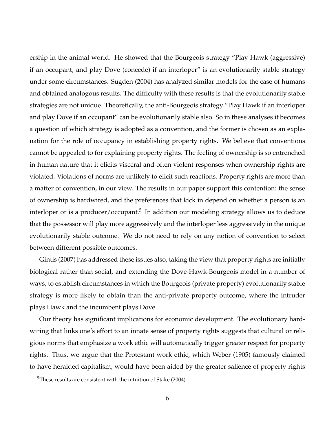ership in the animal world. He showed that the Bourgeois strategy "Play Hawk (aggressive) if an occupant, and play Dove (concede) if an interloper" is an evolutionarily stable strategy under some circumstances. Sugden (2004) has analyzed similar models for the case of humans and obtained analogous results. The difficulty with these results is that the evolutionarily stable strategies are not unique. Theoretically, the anti-Bourgeois strategy "Play Hawk if an interloper and play Dove if an occupant" can be evolutionarily stable also. So in these analyses it becomes a question of which strategy is adopted as a convention, and the former is chosen as an explanation for the role of occupancy in establishing property rights. We believe that conventions cannot be appealed to for explaining property rights. The feeling of ownership is so entrenched in human nature that it elicits visceral and often violent responses when ownership rights are violated. Violations of norms are unlikely to elicit such reactions. Property rights are more than a matter of convention, in our view. The results in our paper support this contention: the sense of ownership is hardwired, and the preferences that kick in depend on whether a person is an interloper or is a producer/occupant.<sup>5</sup> In addition our modeling strategy allows us to deduce that the possessor will play more aggressively and the interloper less aggressively in the unique evolutionarily stable outcome. We do not need to rely on any notion of convention to select between different possible outcomes.

Gintis (2007) has addressed these issues also, taking the view that property rights are initially biological rather than social, and extending the Dove-Hawk-Bourgeois model in a number of ways, to establish circumstances in which the Bourgeois (private property) evolutionarily stable strategy is more likely to obtain than the anti-private property outcome, where the intruder plays Hawk and the incumbent plays Dove.

Our theory has significant implications for economic development. The evolutionary hardwiring that links one's effort to an innate sense of property rights suggests that cultural or religious norms that emphasize a work ethic will automatically trigger greater respect for property rights. Thus, we argue that the Protestant work ethic, which Weber (1905) famously claimed to have heralded capitalism, would have been aided by the greater salience of property rights

 $5$ These results are consistent with the intuition of Stake (2004).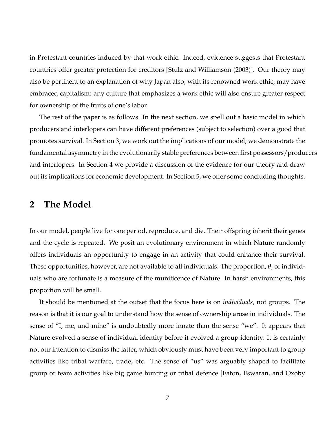in Protestant countries induced by that work ethic. Indeed, evidence suggests that Protestant countries offer greater protection for creditors [Stulz and Williamson (2003)]. Our theory may also be pertinent to an explanation of why Japan also, with its renowned work ethic, may have embraced capitalism: any culture that emphasizes a work ethic will also ensure greater respect for ownership of the fruits of one's labor.

The rest of the paper is as follows. In the next section, we spell out a basic model in which producers and interlopers can have different preferences (subject to selection) over a good that promotes survival. In Section 3, we work out the implications of our model; we demonstrate the fundamental asymmetry in the evolutionarily stable preferences between first possessors/producers and interlopers. In Section 4 we provide a discussion of the evidence for our theory and draw out its implications for economic development. In Section 5, we offer some concluding thoughts.

## **2 The Model**

In our model, people live for one period, reproduce, and die. Their offspring inherit their genes and the cycle is repeated. We posit an evolutionary environment in which Nature randomly offers individuals an opportunity to engage in an activity that could enhance their survival. These opportunities, however, are not available to all individuals. The proportion, *θ*, of individuals who are fortunate is a measure of the munificence of Nature. In harsh environments, this proportion will be small.

It should be mentioned at the outset that the focus here is on *individuals*, not groups. The reason is that it is our goal to understand how the sense of ownership arose in individuals. The sense of "I, me, and mine" is undoubtedly more innate than the sense "we". It appears that Nature evolved a sense of individual identity before it evolved a group identity. It is certainly not our intention to dismiss the latter, which obviously must have been very important to group activities like tribal warfare, trade, etc. The sense of "us" was arguably shaped to facilitate group or team activities like big game hunting or tribal defence [Eaton, Eswaran, and Oxoby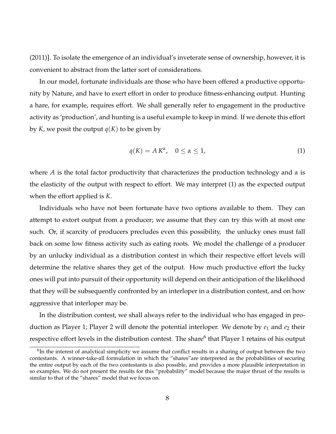(2011)]. To isolate the emergence of an individual's inveterate sense of ownership, however, it is convenient to abstract from the latter sort of considerations.

In our model, fortunate individuals are those who have been offered a productive opportunity by Nature, and have to exert effort in order to produce fitness-enhancing output. Hunting a hare, for example, requires effort. We shall generally refer to engagement in the productive activity as 'production', and hunting is a useful example to keep in mind. If we denote this effort by *K*, we posit the output  $q(K)$  to be given by

$$
q(K) = A K^{\alpha}, \quad 0 \le \alpha \le 1,
$$
\n<sup>(1)</sup>

where *A* is the total factor productivity that characterizes the production technology and *α* is the elasticity of the output with respect to effort. We may interpret (1) as the expected output when the effort applied is *K*.

Individuals who have not been fortunate have two options available to them. They can attempt to extort output from a producer; we assume that they can try this with at most one such. Or, if scarcity of producers precludes even this possibility, the unlucky ones must fall back on some low fitness activity such as eating roots. We model the challenge of a producer by an unlucky individual as a distribution contest in which their respective effort levels will determine the relative shares they get of the output. How much productive effort the lucky ones will put into pursuit of their opportunity will depend on their anticipation of the likelihood that they will be subsequently confronted by an interloper in a distribution contest, and on how aggressive that interloper may be.

In the distribution contest, we shall always refer to the individual who has engaged in production as Player 1; Player 2 will denote the potential interloper. We denote by  $e_1$  and  $e_2$  their respective effort levels in the distribution contest. The share<sup>6</sup> that Player 1 retains of his output

 $6$ In the interest of analytical simplicity we assume that conflict results in a sharing of output between the two contestants. A winner-take-all formulation in which the "shares"are interpreted as the probabilities of securing the entire output by each of the two contestants is also possible, and provides a more plausible interpretation in so examples. We do not present the results for this "probability" model because the major thrust of the results is similar to that of the "shares" model that we focus on.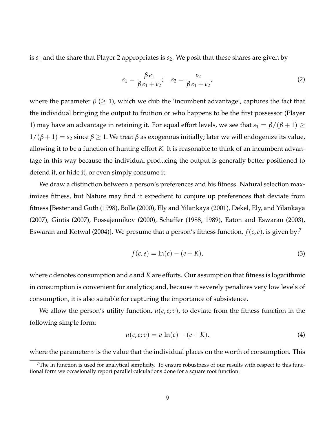is  $s_1$  and the share that Player 2 appropriates is  $s_2$ . We posit that these shares are given by

$$
s_1 = \frac{\beta e_1}{\beta e_1 + e_2}; \quad s_2 = \frac{e_2}{\beta e_1 + e_2}.
$$
 (2)

where the parameter  $\beta$  ( $\geq$  1), which we dub the 'incumbent advantage', captures the fact that the individual bringing the output to fruition or who happens to be the first possessor (Player 1) may have an advantage in retaining it. For equal effort levels, we see that  $s_1 = \beta/(\beta + 1) \geq$  $1/(\beta+1) = s_2$  since  $\beta \geq 1$ . We treat  $\beta$  as exogenous initially; later we will endogenize its value, allowing it to be a function of hunting effort *K*. It is reasonable to think of an incumbent advantage in this way because the individual producing the output is generally better positioned to defend it, or hide it, or even simply consume it.

We draw a distinction between a person's preferences and his fitness. Natural selection maximizes fitness, but Nature may find it expedient to conjure up preferences that deviate from fitness [Bester and Guth (1998), Bolle (2000), Ely and Yilankaya (2001), Dekel, Ely, and Yilankaya (2007), Gintis (2007), Possajennikov (2000), Schaffer (1988, 1989), Eaton and Eswaran (2003), Eswaran and Kotwal (2004)]. We presume that a person's fitness function,  $f(c, e)$ , is given by:<sup>7</sup>

$$
f(c, e) = \ln(c) - (e + K),
$$
 (3)

where *c* denotes consumption and *e* and *K* are efforts. Our assumption that fitness is logarithmic in consumption is convenient for analytics; and, because it severely penalizes very low levels of consumption, it is also suitable for capturing the importance of subsistence.

We allow the person's utility function,  $u(c, e; v)$ , to deviate from the fitness function in the following simple form:

$$
u(c, e; v) = v \ln(c) - (e + K),
$$
 (4)

where the parameter *v* is the value that the individual places on the worth of consumption. This

 $7$ The ln function is used for analytical simplicity. To ensure robustness of our results with respect to this functional form we occasionally report parallel calculations done for a square root function.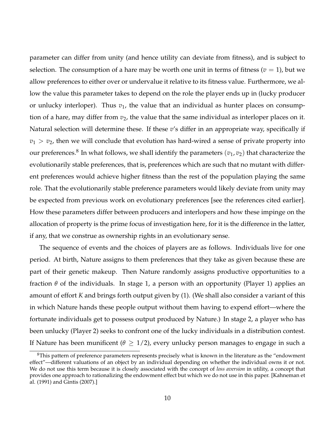parameter can differ from unity (and hence utility can deviate from fitness), and is subject to selection. The consumption of a hare may be worth one unit in terms of fitness ( $v = 1$ ), but we allow preferences to either over or undervalue it relative to its fitness value. Furthermore, we allow the value this parameter takes to depend on the role the player ends up in (lucky producer or unlucky interloper). Thus  $v_1$ , the value that an individual as hunter places on consumption of a hare, may differ from  $v_2$ , the value that the same individual as interloper places on it. Natural selection will determine these. If these *v*'s differ in an appropriate way, specifically if  $v_1 > v_2$ , then we will conclude that evolution has hard-wired a sense of private property into our preferences. $^8$  In what follows, we shall identify the parameters  $(v_1,v_2)$  that characterize the evolutionarily stable preferences, that is, preferences which are such that no mutant with different preferences would achieve higher fitness than the rest of the population playing the same role. That the evolutionarily stable preference parameters would likely deviate from unity may be expected from previous work on evolutionary preferences [see the references cited earlier]. How these parameters differ between producers and interlopers and how these impinge on the allocation of property is the prime focus of investigation here, for it is the difference in the latter, if any, that we construe as ownership rights in an evolutionary sense.

The sequence of events and the choices of players are as follows. Individuals live for one period. At birth, Nature assigns to them preferences that they take as given because these are part of their genetic makeup. Then Nature randomly assigns productive opportunities to a fraction  $\theta$  of the individuals. In stage 1, a person with an opportunity (Player 1) applies an amount of effort *K* and brings forth output given by (1). (We shall also consider a variant of this in which Nature hands these people output without them having to expend effort—where the fortunate individuals get to possess output produced by Nature.) In stage 2, a player who has been unlucky (Player 2) seeks to confront one of the lucky individuals in a distribution contest. If Nature has been munificent ( $\theta \geq 1/2$ ), every unlucky person manages to engage in such a

 $8$ This pattern of preference parameters represents precisely what is known in the literature as the "endowment" effect"—different valuations of an object by an individual depending on whether the individual owns it or not. We do not use this term because it is closely associated with the concept of *loss aversion* in utility, a concept that provides one approach to rationalizing the endowment effect but which we do not use in this paper. [Kahneman et al. (1991) and Gintis (2007).]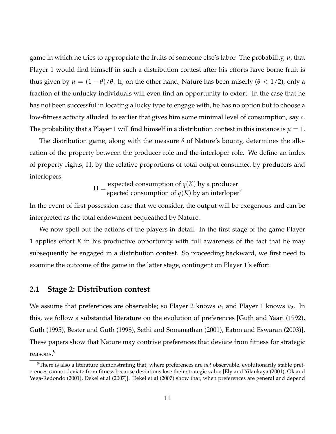game in which he tries to appropriate the fruits of someone else's labor. The probability, *µ*, that Player 1 would find himself in such a distribution contest after his efforts have borne fruit is thus given by  $\mu = (1 - \theta)/\theta$ . If, on the other hand, Nature has been miserly ( $\theta$  < 1/2), only a fraction of the unlucky individuals will even find an opportunity to extort. In the case that he has not been successful in locating a lucky type to engage with, he has no option but to choose a low-fitness activity alluded to earlier that gives him some minimal level of consumption, say *c*. The probability that a Player 1 will find himself in a distribution contest in this instance is  $\mu = 1$ .

The distribution game, along with the measure *θ* of Nature's bounty, determines the allocation of the property between the producer role and the interloper role. We define an index of property rights, Π, by the relative proportions of total output consumed by producers and interlopers:

$$
\Pi = \frac{\text{expected consumption of } q(K) \text{ by a producer}}{\text{epected consumption of } q(K) \text{ by an interloper}'}
$$

In the event of first possession case that we consider, the output will be exogenous and can be interpreted as the total endowment bequeathed by Nature.

We now spell out the actions of the players in detail. In the first stage of the game Player 1 applies effort *K* in his productive opportunity with full awareness of the fact that he may subsequently be engaged in a distribution contest. So proceeding backward, we first need to examine the outcome of the game in the latter stage, contingent on Player 1's effort.

#### **2.1 Stage 2: Distribution contest**

We assume that preferences are observable; so Player 2 knows  $v_1$  and Player 1 knows  $v_2$ . In this, we follow a substantial literature on the evolution of preferences [Guth and Yaari (1992), Guth (1995), Bester and Guth (1998), Sethi and Somanathan (2001), Eaton and Eswaran (2003)]. These papers show that Nature may contrive preferences that deviate from fitness for strategic reasons.<sup>9</sup>

<sup>9</sup>There is also a literature demonstrating that, where preferences are *not* observable, evolutionarily stable preferences cannot deviate from fitness because deviations lose their strategic value [Ely and Yilankaya (2001), Ok and Vega-Redondo (2001), Dekel et al (2007)]. Dekel et al (2007) show that, when preferences are general and depend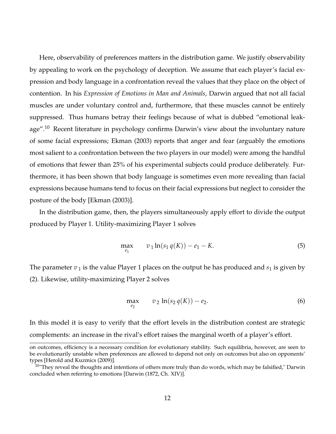Here, observability of preferences matters in the distribution game. We justify observability by appealing to work on the psychology of deception. We assume that each player's facial expression and body language in a confrontation reveal the values that they place on the object of contention. In his *Expression of Emotions in Man and Animals*, Darwin argued that not all facial muscles are under voluntary control and, furthermore, that these muscles cannot be entirely suppressed. Thus humans betray their feelings because of what is dubbed "emotional leakage".<sup>10</sup> Recent literature in psychology confirms Darwin's view about the involuntary nature of some facial expressions; Ekman (2003) reports that anger and fear (arguably the emotions most salient to a confrontation between the two players in our model) were among the handful of emotions that fewer than 25% of his experimental subjects could produce deliberately. Furthermore, it has been shown that body language is sometimes even more revealing than facial expressions because humans tend to focus on their facial expressions but neglect to consider the posture of the body [Ekman (2003)].

In the distribution game, then, the players simultaneously apply effort to divide the output produced by Player 1. Utility-maximizing Player 1 solves

$$
\max_{e_1} \qquad v_1 \ln(s_1 q(K)) - e_1 - K. \tag{5}
$$

The parameter  $v_1$  is the value Player 1 places on the output he has produced and  $s_1$  is given by (2). Likewise, utility-maximizing Player 2 solves

$$
\max_{e_2} \qquad v_2 \ln(s_2 q(K)) - e_2. \tag{6}
$$

In this model it is easy to verify that the effort levels in the distribution contest are strategic complements: an increase in the rival's effort raises the marginal worth of a player's effort.

on outcomes, efficiency is a necessary condition for evolutionary stability. Such equilibria, however, are seen to be evolutionarily unstable when preferences are allowed to depend not only on outcomes but also on opponents' types [Herold and Kuzmics (2009)].

 $10$ "They reveal the thoughts and intentions of others more truly than do words, which may be falsified," Darwin concluded when referring to emotions [Darwin (1872, Ch. XIV)].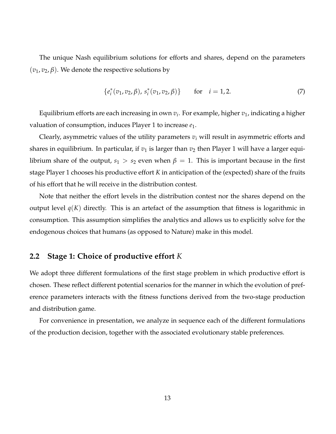The unique Nash equilibrium solutions for efforts and shares, depend on the parameters  $(v_1, v_2, \beta)$ . We denote the respective solutions by

$$
\{e_i^*(v_1, v_2, \beta), s_i^*(v_1, v_2, \beta)\} \qquad \text{for} \quad i = 1, 2. \tag{7}
$$

Equilibrium efforts are each increasing in own *v<sup>i</sup>* . For example, higher *v*1, indicating a higher valuation of consumption, induces Player 1 to increase *e*1.

Clearly, asymmetric values of the utility parameters *v<sup>i</sup>* will result in asymmetric efforts and shares in equilibrium. In particular, if  $v_1$  is larger than  $v_2$  then Player 1 will have a larger equilibrium share of the output,  $s_1 > s_2$  even when  $\beta = 1$ . This is important because in the first stage Player 1 chooses his productive effort *K* in anticipation of the (expected) share of the fruits of his effort that he will receive in the distribution contest.

Note that neither the effort levels in the distribution contest nor the shares depend on the output level  $q(K)$  directly. This is an artefact of the assumption that fitness is logarithmic in consumption. This assumption simplifies the analytics and allows us to explicitly solve for the endogenous choices that humans (as opposed to Nature) make in this model.

## **2.2 Stage 1: Choice of productive effort** *K*

We adopt three different formulations of the first stage problem in which productive effort is chosen. These reflect different potential scenarios for the manner in which the evolution of preference parameters interacts with the fitness functions derived from the two-stage production and distribution game.

For convenience in presentation, we analyze in sequence each of the different formulations of the production decision, together with the associated evolutionary stable preferences.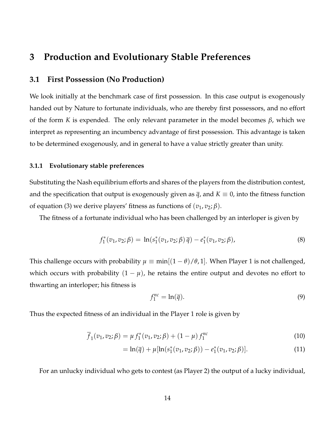## **3 Production and Evolutionary Stable Preferences**

### **3.1 First Possession (No Production)**

We look initially at the benchmark case of first possession. In this case output is exogenously handed out by Nature to fortunate individuals, who are thereby first possessors, and no effort of the form *K* is expended. The only relevant parameter in the model becomes *β*, which we interpret as representing an incumbency advantage of first possession. This advantage is taken to be determined exogenously, and in general to have a value strictly greater than unity.

#### **3.1.1 Evolutionary stable preferences**

Substituting the Nash equilibrium efforts and shares of the players from the distribution contest, and the specification that output is exogenously given as  $\bar{q}$ , and  $K \equiv 0$ , into the fitness function of equation (3) we derive players' fitness as functions of  $(v_1, v_2; \beta)$ .

The fitness of a fortunate individual who has been challenged by an interloper is given by

$$
f_1^*(v_1, v_2; \beta) = \ln(s_1^*(v_1, v_2; \beta) \overline{q}) - e_1^*(v_1, v_2; \beta), \tag{8}
$$

This challenge occurs with probability  $\mu \equiv \min[(1 - \theta)/\theta, 1]$ . When Player 1 is not challenged, which occurs with probability  $(1 - \mu)$ , he retains the entire output and devotes no effort to thwarting an interloper; his fitness is

$$
f_1^{nc} = \ln(\overline{q}).\tag{9}
$$

Thus the expected fitness of an individual in the Player 1 role is given by

$$
\overline{f}_1(v_1, v_2; \beta) = \mu f_1^*(v_1, v_2; \beta) + (1 - \mu) f_1^{nc}
$$
\n(10)

$$
= \ln(\overline{q}) + \mu[\ln(s_1^*(v_1, v_2; \beta)) - e_1^*(v_1, v_2; \beta)]. \tag{11}
$$

For an unlucky individual who gets to contest (as Player 2) the output of a lucky individual,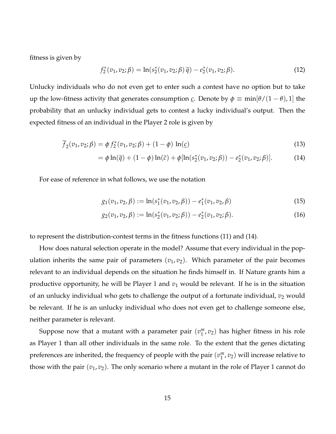fitness is given by

$$
f_2^*(v_1, v_2; \beta) = \ln(s_2^*(v_1, v_2; \beta) \overline{q}) - e_2^*(v_1, v_2; \beta).
$$
 (12)

Unlucky individuals who do not even get to enter such a contest have no option but to take up the low-fitness activity that generates consumption *c*. Denote by  $\phi \equiv \min[\theta/(1-\theta),1]$  the probability that an unlucky individual gets to contest a lucky individual's output. Then the expected fitness of an individual in the Player 2 role is given by

$$
\overline{f}_2(v_1, v_2; \beta) = \phi f_2^*(v_1, v_2; \beta) + (1 - \phi) \ln(\underline{c})
$$
\n(13)

$$
= \phi \ln(\bar{q}) + (1 - \phi) \ln(\bar{c}) + \phi [\ln(s_2^*(v_1, v_2; \beta)) - e_2^*(v_1, v_2; \beta)]. \tag{14}
$$

For ease of reference in what follows, we use the notation

$$
g_1(v_1, v_2, \beta) := \ln(s_1^*(v_1, v_2, \beta)) - e_1^*(v_1, v_2, \beta)
$$
\n(15)

$$
g_2(v_1, v_2, \beta) := \ln(s_2^*(v_1, v_2; \beta)) - e_2^*(v_1, v_2; \beta).
$$
 (16)

to represent the distribution-contest terms in the fitness functions (11) and (14).

How does natural selection operate in the model? Assume that every individual in the population inherits the same pair of parameters  $(v_1, v_2)$ . Which parameter of the pair becomes relevant to an individual depends on the situation he finds himself in. If Nature grants him a productive opportunity, he will be Player 1 and  $v_1$  would be relevant. If he is in the situation of an unlucky individual who gets to challenge the output of a fortunate individual,  $v_2$  would be relevant. If he is an unlucky individual who does not even get to challenge someone else, neither parameter is relevant.

Suppose now that a mutant with a parameter pair  $(v_1^m)$  $_1^m$ , $v_2$ ) has higher fitness in his role as Player 1 than all other individuals in the same role. To the extent that the genes dictating preferences are inherited, the frequency of people with the pair  $(v_1^m)$  $_1^m$ ,  $v_2$ ) will increase relative to those with the pair  $(v_1, v_2)$ . The only scenario where a mutant in the role of Player 1 cannot do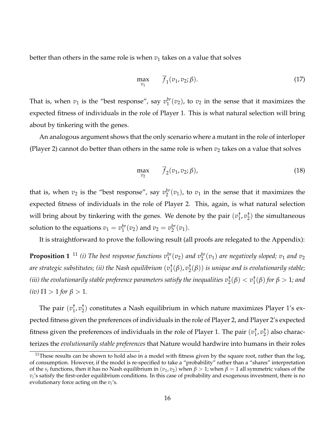better than others in the same role is when  $v_1$  takes on a value that solves

$$
\max_{v_1} \qquad \overline{f}_1(v_1, v_2; \beta). \tag{17}
$$

That is, when  $v_1$  is the "best response", say  $v_1^{br}$  $_1^{br}(v_2)$ , to  $v_2$  in the sense that it maximizes the expected fitness of individuals in the role of Player 1. This is what natural selection will bring about by tinkering with the genes.

An analogous argument shows that the only scenario where a mutant in the role of interloper (Player 2) cannot do better than others in the same role is when  $v_2$  takes on a value that solves

$$
\max_{v_2} \qquad \overline{f}_2(v_1, v_2; \beta), \tag{18}
$$

that is, when  $v_2$  is the "best response", say  $v_2^{br}$  $2^b$ <sup>*br*</sup>( $v_1$ ), to  $v_1$  in the sense that it maximizes the expected fitness of individuals in the role of Player 2. This, again, is what natural selection will bring about by tinkering with the genes. We denote by the pair (*v* † 1 , *v* †  $_2^{\dagger}$ ) the simultaneous solution to the equations  $v_1 = v_1^{br}$  $v_1^{br}(v_2)$  and  $v_2 = v_2^{br}$  $_{2}^{br}(v_1).$ 

It is straightforward to prove the following result (all proofs are relegated to the Appendix):

**Proposition 1**  $^{11}$  (i) The best response functions  $v_1^{br}(v_2)$  and  $v_2^{br}(v_1)$  are negatively sloped;  $v_1$  and  $v_2$ *are strategic substitutes; (ii) the Nash equilibrium* (*v* †  $i_1^{\dagger}(\beta)$ ,  $v_2^{\dagger}$ 2 (*β*)) *is unique and is evolutionarily stable;* (iii) the evolutionarily stable preference parameters satisfy the inequalities  $v^\dagger_2(\beta) < v^\dagger_1$  $_{1}^{7}(\beta)$  for  $\beta > 1$ *; and*  $(iv) \Pi > 1$  *for*  $\beta > 1$ *.* 

The pair  $(v_1^{\dagger})$ 1 , *v* †  $_{2}^{+}$ ) constitutes a Nash equilibrium in which nature maximizes Player 1's expected fitness given the preferences of individuals in the role of Player 2, and Player 2's expected fitness given the preferences of individuals in the role of Player 1. The pair (*v* †  $\frac{1}{1}$ ,  $v_2^+$  $_2^{\text{t}}$ ) also characterizes the *evolutionarily stable preferences* that Nature would hardwire into humans in their roles

 $11$ These results can be shown to hold also in a model with fitness given by the square root, rather than the log, of consumption. However, if the model is re-specified to take a "probability" rather than a "shares" interpretation of the  $s_i$  functions, then it has no Nash equilibrium in  $(v_1,v_2)$  when  $\beta>1$ ; when  $\beta=1$  all symmetric values of the *vi* 's satisfy the first-order equilibrium conditions. In this case of probability and exogenous investment, there is no evolutionary force acting on the *v<sup>i</sup>* 's.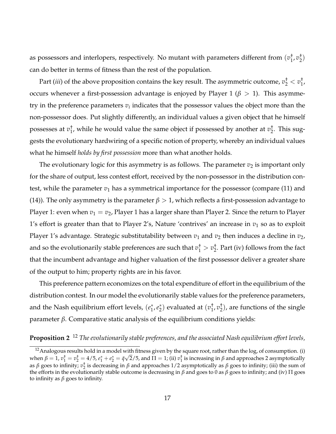as possessors and interlopers, respectively. No mutant with parameters different from (*v* †  $\frac{1}{1}$ ,  $v_2^+$  $\binom{1}{2}$ can do better in terms of fitness than the rest of the population.

Part (*iii*) of the above proposition contains the key result. The asymmetric outcome,  $v_2^\dagger < v_1^\dagger$ 1 , occurs whenever a first-possession advantage is enjoyed by Player 1 ( $\beta$  > 1). This asymmetry in the preference parameters  $v_i$  indicates that the possessor values the object more than the non-possessor does. Put slightly differently, an individual values a given object that he himself possesses at *v* †  $_1^+$ , while he would value the same object if possessed by another at  $v_2^+$  $\frac{1}{2}$ . This suggests the evolutionary hardwiring of a specific notion of property, whereby an individual values what he himself *holds by first possession* more than what another holds.

The evolutionary logic for this asymmetry is as follows. The parameter  $v_2$  is important only for the share of output, less contest effort, received by the non-possessor in the distribution contest, while the parameter  $v_1$  has a symmetrical importance for the possessor (compare (11) and (14)). The only asymmetry is the parameter  $\beta > 1$ , which reflects a first-possession advantage to Player 1: even when  $v_1 = v_2$ , Player 1 has a larger share than Player 2. Since the return to Player 1's effort is greater than that to Player 2's, Nature 'contrives' an increase in  $v_1$  so as to exploit Player 1's advantage. Strategic substitutability between  $v_1$  and  $v_2$  then induces a decline in  $v_2$ , and so the evolutionarily stable preferences are such that  $v_1^+>v_2^+$  $_{2}^{+}$ . Part (iv) follows from the fact that the incumbent advantage and higher valuation of the first possessor deliver a greater share of the output to him; property rights are in his favor.

This preference pattern economizes on the total expenditure of effort in the equilibrium of the distribution contest. In our model the evolutionarily stable values for the preference parameters, and the Nash equilibrium effort levels,  $(e_1^*, e_2^*)$  evaluated at  $(v_1^{\dagger}$  $\frac{1}{1}$ ,  $v_2^+$  $_2^{\dagger}$ ), are functions of the single parameter *β*. Comparative static analysis of the equilibrium conditions yields:

## **Proposition 2** <sup>12</sup> *The evolutionarily stable preferences, and the associated Nash equilibrium effort levels,*

 $12A$ nalogous results hold in a model with fitness given by the square root, rather than the log, of consumption. (i)  $\mathcal{L} = \{ \mathbf{a}_1, \mathbf{b}_1, \mathbf{c}_2, \mathbf{c}_3, \mathbf{c}_4, \mathbf{c}_5, \mathbf{c}_5, \mathbf{c}_6, \mathbf{c}_7, \mathbf{c}_8, \mathbf{c}_9, \mathbf{c}_9, \mathbf{c}_9, \mathbf{c}_9, \mathbf{c}_9, \mathbf{c}_9, \mathbf{c}_9, \mathbf{c}_9, \mathbf{c}_9, \mathbf{c}_9, \mathbf{c}_9, \mathbf{c}_9, \mathbf{c}_9, \mathbf{c}_9, \mathbf{c}_9, \mathbf{c}_9, \math$ as *β* goes to infinity;  $v_2^{\dagger}$  is decreasing in *β* and approaches 1/2 asymptotically as *β* goes to infinity; (iii) the sum of the efforts in the evolutionarily stable outcome is decreasing in *β* and goes to 0 as *β* goes to infinity; and (iv) Π goes to infinity as *β* goes to infinity.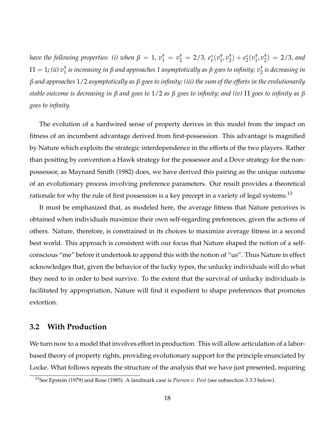*have the following properties: (i) when*  $\beta = 1$ *,*  $v_1^{\dagger} = v_2^{\dagger} = 2/3$ *,*  $e_1^*(v_1^{\dagger})$  $\frac{1}{1}$ ,  $v_2^+$  $(e_2^{\dagger}) + e_2^{\dagger}(v_1^{\dagger})$  $\frac{1}{1}$ ,  $v_2^+$  $_{2}^{2}) = 2/3$ , and Π = 1*; (ii) v*† 1 *is increasing in β and approaches 1 asymptotically as β goes to infinity; v*† 2 *is decreasing in β and approaches* 1/2 *asymptotically as β goes to infinity; (iii) the sum of the efforts in the evolutionarily stable outcome is decreasing in β and goes to* 1/2 *as β goes to infinity; and (iv)* Π *goes to infinity as β goes to infinity.*

The evolution of a hardwired sense of property derives in this model from the impact on fitness of an incumbent advantage derived from first-possession. This advantage is magnified by Nature which exploits the strategic interdependence in the efforts of the two players. Rather than positing by convention a Hawk strategy for the possessor and a Dove strategy for the nonpossessor, as Maynard Smith (1982) does, we have derived this pairing as the unique outcome of an evolutionary process involving preference parameters. Our result provides a theoretical rationale for why the rule of first possession is a key precept in a variety of legal systems.<sup>13</sup>

It must be emphasized that, as modeled here, the average fitness that Nature perceives is obtained when individuals maximize their own self-regarding preferences, given the actions of others. Nature, therefore, is constrained in its choices to maximize average fitness in a second best world. This approach is consistent with our focus that Nature shaped the notion of a selfconscious "me" before it undertook to append this with the notion of "us". Thus Nature in effect acknowledges that, given the behavior of the lucky types, the unlucky individuals will do what they need to in order to best survive. To the extent that the survival of unlucky individuals is facilitated by appropriation, Nature will find it expedient to shape preferences that promotes extortion.

### **3.2 With Production**

We turn now to a model that involves effort in production. This will allow articulation of a laborbased theory of property rights, providing evolutionary support for the principle enunciated by Locke. What follows repeats the structure of the analysis that we have just presented, requiring

<sup>13</sup>See Epstein (1979) and Rose (1985). A landmark case is *Pierson v. Post* (see subsection 3.3.3 below).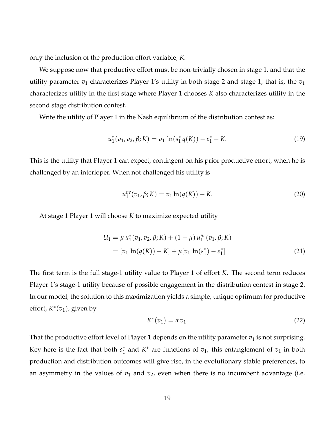only the inclusion of the production effort variable, *K*.

We suppose now that productive effort must be non-trivially chosen in stage 1, and that the utility parameter  $v_1$  characterizes Player 1's utility in both stage 2 and stage 1, that is, the  $v_1$ characterizes utility in the first stage where Player 1 chooses *K* also characterizes utility in the second stage distribution contest.

Write the utility of Player 1 in the Nash equilibrium of the distribution contest as:

$$
u_1^*(v_1, v_2, \beta; K) = v_1 \ln(s_1^* q(K)) - e_1^* - K.
$$
 (19)

This is the utility that Player 1 can expect, contingent on his prior productive effort, when he is challenged by an interloper. When not challenged his utility is

$$
u_1^{nc}(v_1, \beta; K) = v_1 \ln(q(K)) - K.
$$
 (20)

At stage 1 Player 1 will choose *K* to maximize expected utility

$$
U_1 = \mu u_1^*(v_1, v_2, \beta; K) + (1 - \mu) u_1^{nc}(v_1, \beta; K)
$$
  
=  $[v_1 \ln(q(K)) - K] + \mu[v_1 \ln(s_1^*) - e_1^*]$  (21)

The first term is the full stage-1 utility value to Player 1 of effort *K*. The second term reduces Player 1's stage-1 utility because of possible engagement in the distribution contest in stage 2. In our model, the solution to this maximization yields a simple, unique optimum for productive effort, *K* ∗ (*v*1), given by

$$
K^*(v_1) = \alpha v_1. \tag{22}
$$

That the productive effort level of Player 1 depends on the utility parameter  $v_1$  is not surprising. Key here is the fact that both  $s_1^*$  and  $K^*$  are functions of  $v_1$ ; this entanglement of  $v_1$  in both production and distribution outcomes will give rise, in the evolutionary stable preferences, to an asymmetry in the values of  $v_1$  and  $v_2$ , even when there is no incumbent advantage (i.e.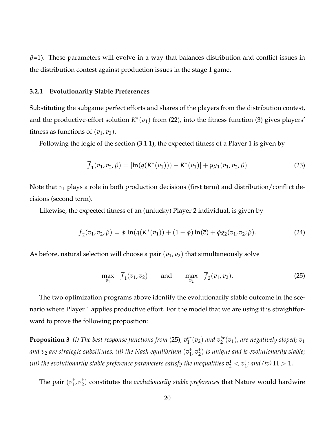*β*=1). These parameters will evolve in a way that balances distribution and conflict issues in the distribution contest against production issues in the stage 1 game.

#### **3.2.1 Evolutionarily Stable Preferences**

Substituting the subgame perfect efforts and shares of the players from the distribution contest, and the productive-effort solution  $K^*(v_1)$  from (22), into the fitness function (3) gives players' fitness as functions of  $(v_1, v_2)$ .

Following the logic of the section (3.1.1), the expected fitness of a Player 1 is given by

$$
\overline{f}_1(v_1, v_2, \beta) = [\ln(q(K^*(v_1))) - K^*(v_1)] + \mu g_1(v_1, v_2, \beta)
$$
\n(23)

Note that  $v_1$  plays a role in both production decisions (first term) and distribution/conflict decisions (second term).

Likewise, the expected fitness of an (unlucky) Player 2 individual, is given by

$$
\overline{f}_2(v_1, v_2, \beta) = \phi \ln(q(K^*(v_1)) + (1 - \phi) \ln(\overline{c}) + \phi g_2(v_1, v_2; \beta).
$$
 (24)

As before, natural selection will choose a pair  $(v_1, v_2)$  that simultaneously solve

$$
\max_{v_1} \quad \overline{f}_1(v_1, v_2) \qquad \text{and} \qquad \max_{v_2} \quad \overline{f}_2(v_1, v_2). \tag{25}
$$

The two optimization programs above identify the evolutionarily stable outcome in the scenario where Player 1 applies productive effort. For the model that we are using it is straightforward to prove the following proposition:

**Proposition 3** (i) The best response functions from (25),  $v_1^{br}(v_2)$  and  $v_2^{br}(v_1)$ , are negatively sloped;  $v_1$ *and v*<sup>2</sup> *are strategic substitutes; (ii) the Nash equilibrium* (*v* †  $\frac{1}{1}$ ,  $v_2^+$ 2 ) *is unique and is evolutionarily stable;* (*iii) the evolutionarily stable preference parameters satisfy the inequalities*  $v^\dagger_2 < v^\dagger_1$  $_{1}^{1}$ *; and (iv)*  $\Pi > 1$ **.** 

The pair  $(v_1^{\dagger})$ 1 , *v* † 2 ) constitutes the *evolutionarily stable preferences* that Nature would hardwire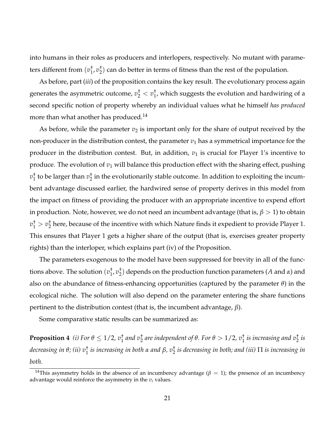into humans in their roles as producers and interlopers, respectively. No mutant with parameters different from (*v* †  $\frac{1}{1}$ ,  $v_2^+$  $_2^{\text{+}}$ ) can do better in terms of fitness than the rest of the population.

As before, part (*iii*) of the proposition contains the key result. The evolutionary process again generates the asymmetric outcome,  $v_2^\dagger < v_1^\dagger$  $_{1}^{7}$ , which suggests the evolution and hardwiring of a second specific notion of property whereby an individual values what he himself *has produced* more than what another has produced.<sup>14</sup>

As before, while the parameter  $v_2$  is important only for the share of output received by the non-producer in the distribution contest, the parameter  $v_1$  has a symmetrical importance for the producer in the distribution contest. But, in addition,  $v_1$  is crucial for Player 1's incentive to produce. The evolution of  $v_1$  will balance this production effect with the sharing effect, pushing  $v_1^{\dagger}$  $_1^{\dagger}$  to be larger than  $v_2^{\dagger}$  $\frac{1}{2}$  in the evolutionarily stable outcome. In addition to exploiting the incumbent advantage discussed earlier, the hardwired sense of property derives in this model from the impact on fitness of providing the producer with an appropriate incentive to expend effort in production. Note, however, we do not need an incumbent advantage (that is,  $\beta > 1$ ) to obtain  $v_1^{\dagger} > v_2^{\dagger}$  $_2^{\text{t}}$  here, because of the incentive with which Nature finds it expedient to provide Player 1. This ensures that Player 1 gets a higher share of the output (that is, exercises greater property rights) than the interloper, which explains part (iv) of the Proposition.

The parameters exogenous to the model have been suppressed for brevity in all of the functions above. The solution (*v* † 1 , *v* † 2 ) depends on the production function parameters (*A* and *α*) and also on the abundance of fitness-enhancing opportunities (captured by the parameter *θ*) in the ecological niche. The solution will also depend on the parameter entering the share functions pertinent to the distribution contest (that is, the incumbent advantage, *β*).

Some comparative static results can be summarized as:

**Proposition 4** (i) For  $\theta \le 1/2$ ,  $v_1^{\dagger}$  and  $v_2^{\dagger}$  are independent of  $\theta$ . For  $\theta > 1/2$ ,  $v_1^{\dagger}$  is increasing and  $v_2^{\dagger}$  is decreasing in θ; (ii)  $v_1^+$  is increasing in both α and β,  $v_2^+$  is decreasing in both; and (iii)  $\Pi$  is increasing in *both.*

<sup>&</sup>lt;sup>14</sup>This asymmetry holds in the absence of an incumbency advantage ( $\beta = 1$ ); the presence of an incumbency advantage would reinforce the asymmetry in the  $v_i$  values.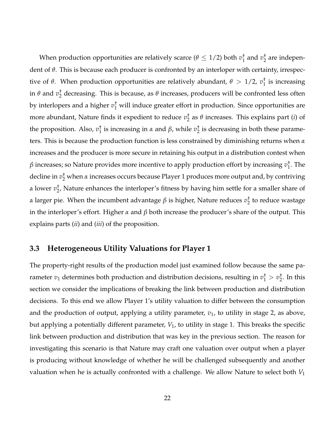When production opportunities are relatively scarce ( $\theta \leq 1/2$ ) both  $v_1^\dagger$  $1\overline{1}$  and  $v_2$ <sup>+</sup>  $_2^{\dagger}$  are independent of *θ*. This is because each producer is confronted by an interloper with certainty, irrespective of *θ*. When production opportunities are relatively abundant, *θ* > 1/2, *v* †  $\frac{1}{1}$  is increasing in  $\theta$  and  $v_2^\dagger$  $_2^{\texttt{t}}$  decreasing. This is because, as  $\theta$  increases, producers will be confronted less often by interlopers and a higher  $v_1^{\dagger}$  will induce greater effort in production. Since opportunities are more abundant, Nature finds it expedient to reduce *v* † 2 as *θ* increases. This explains part (*i*) of the proposition. Also, *v* †  $\frac{1}{1}$  is increasing in *α* and *β*, while  $v_2^{\dagger}$  $_2^{\dagger}$  is decreasing in both these parameters. This is because the production function is less constrained by diminishing returns when *α* increases and the producer is more secure in retaining his output in a distribution contest when *β* increases; so Nature provides more incentive to apply production effort by increasing *v* †  $\frac{1}{1}$ . The decline in *v* † <sup>2</sup> when *α* increases occurs because Player 1 produces more output and, by contriving a lower *v* † 2 , Nature enhances the interloper's fitness by having him settle for a smaller share of a larger pie. When the incumbent advantage *β* is higher, Nature reduces *v* †  $\frac{1}{2}$  to reduce wastage in the interloper's effort. Higher *α* and *β* both increase the producer's share of the output. This explains parts (*ii*) and (*iii*) of the proposition.

### **3.3 Heterogeneous Utility Valuations for Player 1**

The property-right results of the production model just examined follow because the same parameter  $v_1$  determines both production and distribution decisions, resulting in  $v_1^{\dagger} > v_2^{\dagger}$  $\frac{1}{2}$ . In this section we consider the implications of breaking the link between production and distribution decisions. To this end we allow Player 1's utility valuation to differ between the consumption and the production of output, applying a utility parameter,  $v_1$ , to utility in stage 2, as above, but applying a potentially different parameter, *V*1, to utility in stage 1. This breaks the specific link between production and distribution that was key in the previous section. The reason for investigating this scenario is that Nature may craft one valuation over output when a player is producing without knowledge of whether he will be challenged subsequently and another valuation when he is actually confronted with a challenge. We allow Nature to select both *V*<sup>1</sup>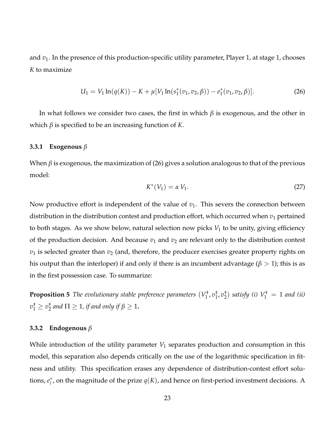and *v*1. In the presence of this production-specific utility parameter, Player 1, at stage 1, chooses *K* to maximize

$$
U_1 = V_1 \ln(q(K)) - K + \mu[V_1 \ln(s_1^*(v_1, v_2, \beta)) - e_1^*(v_1, v_2, \beta)].
$$
\n(26)

In what follows we consider two cases, the first in which *β* is exogenous, and the other in which  $\beta$  is specified to be an increasing function of *K*.

#### **3.3.1 Exogenous** *β*

When  $\beta$  is exogenous, the maximization of (26) gives a solution analogous to that of the previous model:

$$
K^*(V_1) = \alpha V_1. \tag{27}
$$

Now productive effort is independent of the value of  $v_1$ . This severs the connection between distribution in the distribution contest and production effort, which occurred when  $v_1$  pertained to both stages. As we show below, natural selection now picks *V*<sup>1</sup> to be unity, giving efficiency of the production decision. And because  $v_1$  and  $v_2$  are relevant only to the distribution contest  $v_1$  is selected greater than  $v_2$  (and, therefore, the producer exercises greater property rights on his output than the interloper) if and only if there is an incumbent advantage ( $\beta > 1$ ); this is as in the first possession case. To summarize:

**Proposition 5** *The evolutionary stable preference parameters* (*V* †  $i_1^+, v_1^+$ 1 , *v* †  $_{2}^{+}$ ) *satisfy* (*i*)  $V_{1}^{+} = 1$  *and* (*ii*)  $v_1^{\dagger} \geq v_2^{\dagger}$  $\frac{1}{2}$  and  $\Pi \geq 1$ , if and only if  $\beta \geq 1$ **.** 

#### **3.3.2 Endogenous** *β*

While introduction of the utility parameter  $V_1$  separates production and consumption in this model, this separation also depends critically on the use of the logarithmic specification in fitness and utility. This specification erases any dependence of distribution-contest effort solutions,  $e_i^*$ , on the magnitude of the prize  $q(K)$ , and hence on first-period investment decisions. A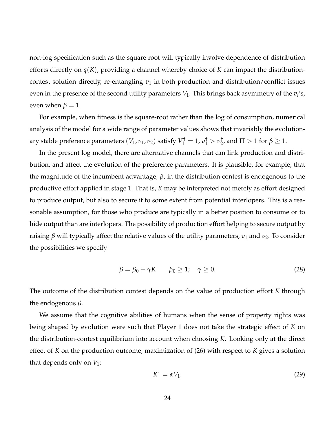non-log specification such as the square root will typically involve dependence of distribution efforts directly on *q*(*K*), providing a channel whereby choice of *K* can impact the distributioncontest solution directly, re-entangling  $v_1$  in both production and distribution/conflict issues even in the presence of the second utility parameters  $V_1$ . This brings back asymmetry of the  $v_i$ 's, even when  $\beta = 1$ .

For example, when fitness is the square-root rather than the log of consumption, numerical analysis of the model for a wide range of parameter values shows that invariably the evolutionary stable preference parameters  $(V_1, v_1, v_2)$  satisfy  $V_1^{\dagger} = 1$ ,  $v_1^{\dagger} > v_2^{\dagger}$  $_{2}^{\mathsf{T}}$ , and  $\Pi > 1$  for  $\beta \geq 1$ .

In the present log model, there are alternative channels that can link production and distribution, and affect the evolution of the preference parameters. It is plausible, for example, that the magnitude of the incumbent advantage, *β*, in the distribution contest is endogenous to the productive effort applied in stage 1. That is, *K* may be interpreted not merely as effort designed to produce output, but also to secure it to some extent from potential interlopers. This is a reasonable assumption, for those who produce are typically in a better position to consume or to hide output than are interlopers. The possibility of production effort helping to secure output by raising *β* will typically affect the relative values of the utility parameters,  $v_1$  and  $v_2$ . To consider the possibilities we specify

$$
\beta = \beta_0 + \gamma K \qquad \beta_0 \ge 1; \quad \gamma \ge 0. \tag{28}
$$

The outcome of the distribution contest depends on the value of production effort *K* through the endogenous *β*.

We assume that the cognitive abilities of humans when the sense of property rights was being shaped by evolution were such that Player 1 does not take the strategic effect of *K* on the distribution-contest equilibrium into account when choosing *K*. Looking only at the direct effect of *K* on the production outcome, maximization of (26) with respect to *K* gives a solution that depends only on  $V_1$ :

$$
K^* = \alpha V_1. \tag{29}
$$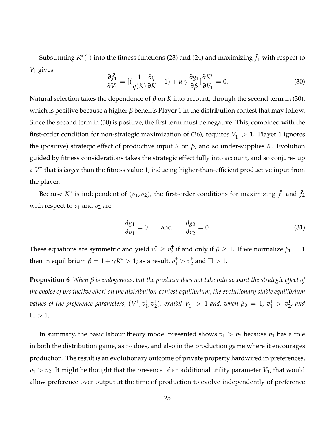Substituting  $K^*(\cdot)$  into the fitness functions (23) and (24) and maximizing  $\bar{f}_1$  with respect to *V*<sup>1</sup> gives

$$
\frac{\partial \bar{f}_1}{\partial V_1} = \left[ \left( \frac{1}{q(K)} \frac{\partial q}{\partial K} - 1 \right) + \mu \gamma \frac{\partial g_1}{\partial \beta} \right] \frac{\partial K^*}{\partial V_1} = 0. \tag{30}
$$

Natural selection takes the dependence of *β* on *K* into account, through the second term in (30), which is positive because a higher *β* benefits Player 1 in the distribution contest that may follow. Since the second term in (30) is positive, the first term must be negative. This, combined with the first-order condition for non-strategic maximization of (26), requires  $V_1^{\dagger} > 1$ . Player 1 ignores the (positive) strategic effect of productive input *K* on *β*, and so under-supplies *K*. Evolution guided by fitness considerations takes the strategic effect fully into account, and so conjures up a *V* † 1 that is *larger* than the fitness value 1, inducing higher-than-efficient productive input from the player.

Because  $K^*$  is independent of  $(v_1, v_2)$ , the first-order conditions for maximizing  $\bar{f}_1$  and  $\bar{f}_2$ with respect to  $v_1$  and  $v_2$  are

$$
\frac{\partial g_1}{\partial v_1} = 0 \quad \text{and} \quad \frac{\partial g_2}{\partial v_2} = 0. \tag{31}
$$

These equations are symmetric and yield  $v_1^{\dagger} \geq v_2^{\dagger}$  $\frac{1}{2}$  if and only if  $\beta \geq 1$ . If we normalize  $\beta_0 = 1$ then in equilibrium  $\beta = 1 + \gamma K^* > 1$ ; as a result,  $v^\dagger_1 > v^\dagger_2$  $\frac{1}{2}$  and  $\Pi > 1$ .

**Proposition 6** *When β is endogenous, but the producer does not take into account the strategic effect of the choice of productive effort on the distribution-contest equilibrium, the evolutionary stable equilibrium values of the preference parameters,*  $(V^{\dagger}, v_{1}^{\dagger})$  $\frac{1}{1}$ ,  $v_2^+$  $\binom{1}{2}$ , exhibit  $V_1^{\dagger} > 1$  and, when  $\beta_0 = 1$ ,  $v_1^{\dagger} > v_2^{\dagger}$ 2 *, and*  $\Pi > 1$ .

In summary, the basic labour theory model presented shows  $v_1 > v_2$  because  $v_1$  has a role in both the distribution game, as  $v_2$  does, and also in the production game where it encourages production. The result is an evolutionary outcome of private property hardwired in preferences,  $v_1 > v_2$ . It might be thought that the presence of an additional utility parameter  $V_1$ , that would allow preference over output at the time of production to evolve independently of preference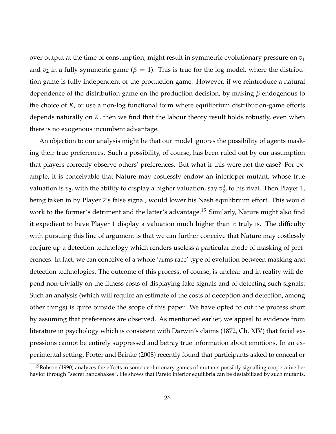over output at the time of consumption, might result in symmetric evolutionary pressure on  $v_1$ and  $v_2$  in a fully symmetric game ( $\beta = 1$ ). This is true for the log model, where the distribution game is fully independent of the production game. However, if we reintroduce a natural dependence of the distribution game on the production decision, by making *β* endogenous to the choice of *K*, or use a non-log functional form where equilibrium distribution-game efforts depends naturally on *K*, then we find that the labour theory result holds robustly, even when there is no exogenous incumbent advantage.

An objection to our analysis might be that our model ignores the possibility of agents masking their true preferences. Such a possibility, of course, has been ruled out by our assumption that players correctly observe others' preferences. But what if this were not the case? For example, it is conceivable that Nature may costlessly endow an interloper mutant, whose true valuation is  $v_2$ , with the ability to display a higher valuation, say  $v_2^d$  $_2^d$ , to his rival. Then Player 1, being taken in by Player 2's false signal, would lower his Nash equilibrium effort. This would work to the former's detriment and the latter's advantage.<sup>15</sup> Similarly, Nature might also find it expedient to have Player 1 display a valuation much higher than it truly is. The difficulty with pursuing this line of argument is that we can further conceive that Nature may costlessly conjure up a detection technology which renders useless a particular mode of masking of preferences. In fact, we can conceive of a whole 'arms race' type of evolution between masking and detection technologies. The outcome of this process, of course, is unclear and in reality will depend non-trivially on the fitness costs of displaying fake signals and of detecting such signals. Such an analysis (which will require an estimate of the costs of deception and detection, among other things) is quite outside the scope of this paper. We have opted to cut the process short by assuming that preferences are observed. As mentioned earlier, we appeal to evidence from literature in psychology which is consistent with Darwin's claims (1872, Ch. XIV) that facial expressions cannot be entirely suppressed and betray true information about emotions. In an experimental setting, Porter and Brinke (2008) recently found that participants asked to conceal or

 $15Robson$  (1990) analyzes the effects in some evolutionary games of mutants possibly signalling cooperative behavior through "secret handshakes". He shows that Pareto inferior equilibria can be destabilized by such mutants.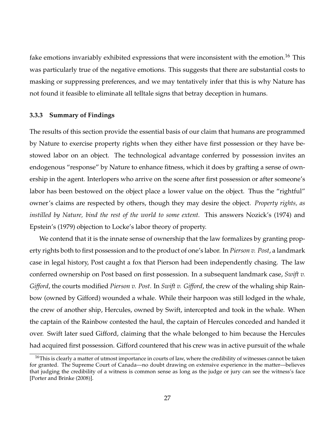fake emotions invariably exhibited expressions that were inconsistent with the emotion.<sup>16</sup> This was particularly true of the negative emotions. This suggests that there are substantial costs to masking or suppressing preferences, and we may tentatively infer that this is why Nature has not found it feasible to eliminate all telltale signs that betray deception in humans.

#### **3.3.3 Summary of Findings**

The results of this section provide the essential basis of our claim that humans are programmed by Nature to exercise property rights when they either have first possession or they have bestowed labor on an object. The technological advantage conferred by possession invites an endogenous "response" by Nature to enhance fitness, which it does by grafting a sense of ownership in the agent. Interlopers who arrive on the scene after first possession or after someone's labor has been bestowed on the object place a lower value on the object. Thus the "rightful" owner's claims are respected by others, though they may desire the object. *Property rights, as instilled by Nature, bind the rest of the world to some extent.* This answers Nozick's (1974) and Epstein's (1979) objection to Locke's labor theory of property.

We contend that it is the innate sense of ownership that the law formalizes by granting property rights both to first possession and to the product of one's labor. In *Pierson v. Post*, a landmark case in legal history, Post caught a fox that Pierson had been independently chasing. The law conferred ownership on Post based on first possession. In a subsequent landmark case, *Swift v. Gifford*, the courts modified *Pierson v. Post*. In *Swift v. Gifford*, the crew of the whaling ship Rainbow (owned by Gifford) wounded a whale. While their harpoon was still lodged in the whale, the crew of another ship, Hercules, owned by Swift, intercepted and took in the whale. When the captain of the Rainbow contested the haul, the captain of Hercules conceded and handed it over. Swift later sued Gifford, claiming that the whale belonged to him because the Hercules had acquired first possession. Gifford countered that his crew was in active pursuit of the whale

 $16$ This is clearly a matter of utmost importance in courts of law, where the credibility of witnesses cannot be taken for granted. The Supreme Court of Canada—no doubt drawing on extensive experience in the matter—believes that judging the credibility of a witness is common sense as long as the judge or jury can see the witness's face [Porter and Brinke (2008)].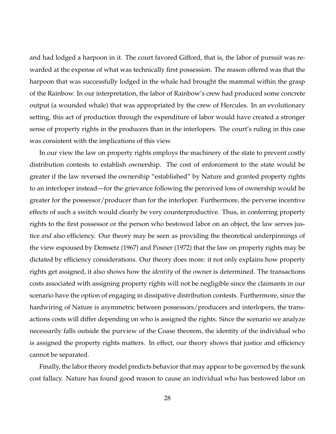and had lodged a harpoon in it. The court favored Gifford, that is, the labor of pursuit was rewarded at the expense of what was technically first possession. The reason offered was that the harpoon that was successfully lodged in the whale had brought the mammal within the grasp of the Rainbow. In our interpretation, the labor of Rainbow's crew had produced some concrete output (a wounded whale) that was appropriated by the crew of Hercules. In an evolutionary setting, this act of production through the expenditure of labor would have created a stronger sense of property rights in the producers than in the interlopers. The court's ruling in this case was consistent with the implications of this view.

In our view the law on property rights employs the machinery of the state to prevent costly distribution contests to establish ownership. The cost of enforcement to the state would be greater if the law reversed the ownership "established" by Nature and granted property rights to an interloper instead—for the grievance following the perceived loss of ownership would be greater for the possessor/producer than for the interloper. Furthermore, the perverse incentive effects of such a switch would clearly be very counterproductive. Thus, in conferring property rights to the first possessor or the person who bestowed labor on an object, the law serves justice *and* also efficiency. Our theory may be seen as providing the theoretical underpinnings of the view espoused by Demsetz (1967) and Posner (1972) that the law on property rights may be dictated by efficiency considerations. Our theory does more: it not only explains how property rights get assigned, it also shows how the *identity* of the owner is determined. The transactions costs associated with assigning property rights will not be negligible since the claimants in our scenario have the option of engaging in dissipative distribution contests. Furthermore, since the hardwiring of Nature is asymmetric between possessors/producers and interlopers, the transactions costs will differ depending on who is assigned the rights. Since the scenario we analyze necessarily falls outside the purview of the Coase theorem, the identity of the individual who is assigned the property rights matters. In effect, our theory shows that justice and efficiency cannot be separated.

Finally, the labor theory model predicts behavior that may appear to be governed by the sunk cost fallacy. Nature has found good reason to cause an individual who has bestowed labor on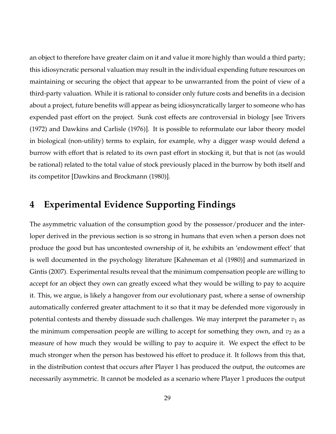an object to therefore have greater claim on it and value it more highly than would a third party; this idiosyncratic personal valuation may result in the individual expending future resources on maintaining or securing the object that appear to be unwarranted from the point of view of a third-party valuation. While it is rational to consider only future costs and benefits in a decision about a project, future benefits will appear as being idiosyncratically larger to someone who has expended past effort on the project. Sunk cost effects are controversial in biology [see Trivers (1972) and Dawkins and Carlisle (1976)]. It is possible to reformulate our labor theory model in biological (non-utility) terms to explain, for example, why a digger wasp would defend a burrow with effort that is related to its own past effort in stocking it, but that is not (as would be rational) related to the total value of stock previously placed in the burrow by both itself and its competitor [Dawkins and Brockmann (1980)].

## **4 Experimental Evidence Supporting Findings**

The asymmetric valuation of the consumption good by the possessor/producer and the interloper derived in the previous section is so strong in humans that even when a person does not produce the good but has uncontested ownership of it, he exhibits an 'endowment effect' that is well documented in the psychology literature [Kahneman et al (1980)] and summarized in Gintis (2007). Experimental results reveal that the minimum compensation people are willing to accept for an object they own can greatly exceed what they would be willing to pay to acquire it. This, we argue, is likely a hangover from our evolutionary past, where a sense of ownership automatically conferred greater attachment to it so that it may be defended more vigorously in potential contests and thereby dissuade such challenges. We may interpret the parameter  $v_1$  as the minimum compensation people are willing to accept for something they own, and  $v_2$  as a measure of how much they would be willing to pay to acquire it. We expect the effect to be much stronger when the person has bestowed his effort to produce it. It follows from this that, in the distribution contest that occurs after Player 1 has produced the output, the outcomes are necessarily asymmetric. It cannot be modeled as a scenario where Player 1 produces the output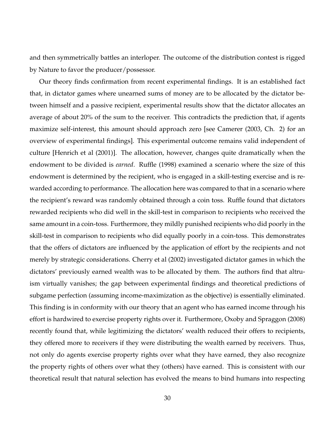and then symmetrically battles an interloper. The outcome of the distribution contest is rigged by Nature to favor the producer/possessor.

Our theory finds confirmation from recent experimental findings. It is an established fact that, in dictator games where unearned sums of money are to be allocated by the dictator between himself and a passive recipient, experimental results show that the dictator allocates an average of about 20% of the sum to the receiver. This contradicts the prediction that, if agents maximize self-interest, this amount should approach zero [see Camerer (2003, Ch. 2) for an overview of experimental findings]. This experimental outcome remains valid independent of culture [Henrich et al (2001)]. The allocation, however, changes quite dramatically when the endowment to be divided is *earned*. Ruffle (1998) examined a scenario where the size of this endowment is determined by the recipient, who is engaged in a skill-testing exercise and is rewarded according to performance. The allocation here was compared to that in a scenario where the recipient's reward was randomly obtained through a coin toss. Ruffle found that dictators rewarded recipients who did well in the skill-test in comparison to recipients who received the same amount in a coin-toss. Furthermore, they mildly punished recipients who did poorly in the skill-test in comparison to recipients who did equally poorly in a coin-toss. This demonstrates that the offers of dictators are influenced by the application of effort by the recipients and not merely by strategic considerations. Cherry et al (2002) investigated dictator games in which the dictators' previously earned wealth was to be allocated by them. The authors find that altruism virtually vanishes; the gap between experimental findings and theoretical predictions of subgame perfection (assuming income-maximization as the objective) is essentially eliminated. This finding is in conformity with our theory that an agent who has earned income through his effort is hardwired to exercise property rights over it. Furthermore, Oxoby and Spraggon (2008) recently found that, while legitimizing the dictators' wealth reduced their offers to recipients, they offered more to receivers if they were distributing the wealth earned by receivers. Thus, not only do agents exercise property rights over what they have earned, they also recognize the property rights of others over what they (others) have earned. This is consistent with our theoretical result that natural selection has evolved the means to bind humans into respecting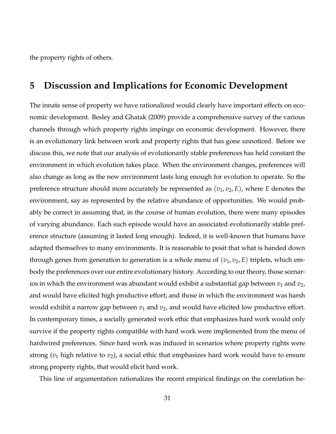the property rights of others.

## **5 Discussion and Implications for Economic Development**

The innate sense of property we have rationalized would clearly have important effects on economic development. Besley and Ghatak (2009) provide a comprehensive survey of the various channels through which property rights impinge on economic development. However, there is an evolutionary link between work and property rights that has gone unnoticed. Before we discuss this, we note that our analysis of evolutionarily stable preferences has held constant the environment in which evolution takes place. When the environment changes, preferences will also change as long as the new environment lasts long enough for evolution to operate. So the preference structure should more accurately be represented as  $(v_1, v_2, E)$ , where *E* denotes the environment, say as represented by the relative abundance of opportunities. We would probably be correct in assuming that, in the course of human evolution, there were many episodes of varying abundance. Each such episode would have an associated evolutionarily stable preference structure (assuming it lasted long enough). Indeed, it is well-known that humans have adapted themselves to many environments. It is reasonable to posit that what is handed down through genes from generation to generation is a whole menu of  $(v_1, v_2, E)$  triplets, which embody the preferences over our entire evolutionary history. According to our theory, those scenarios in which the environment was abundant would exhibit a substantial gap between  $v_1$  and  $v_2$ , and would have elicited high productive effort; and those in which the environment was harsh would exhibit a narrow gap between  $v_1$  and  $v_2$ , and would have elicited low productive effort. In contemporary times, a socially generated work ethic that emphasizes hard work would only survive if the property rights compatible with hard work were implemented from the menu of hardwired preferences. Since hard work was induced in scenarios where property rights were strong (*v*<sup>1</sup> high relative to *v*2), a social ethic that emphasizes hard work would have to ensure strong property rights, that would elicit hard work.

This line of argumentation rationalizes the recent empirical findings on the correlation be-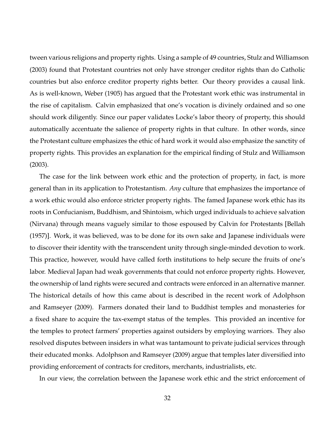tween various religions and property rights. Using a sample of 49 countries, Stulz and Williamson (2003) found that Protestant countries not only have stronger creditor rights than do Catholic countries but also enforce creditor property rights better. Our theory provides a causal link. As is well-known, Weber (1905) has argued that the Protestant work ethic was instrumental in the rise of capitalism. Calvin emphasized that one's vocation is divinely ordained and so one should work diligently. Since our paper validates Locke's labor theory of property, this should automatically accentuate the salience of property rights in that culture. In other words, since the Protestant culture emphasizes the ethic of hard work it would also emphasize the sanctity of property rights. This provides an explanation for the empirical finding of Stulz and Williamson (2003).

The case for the link between work ethic and the protection of property, in fact, is more general than in its application to Protestantism. *Any* culture that emphasizes the importance of a work ethic would also enforce stricter property rights. The famed Japanese work ethic has its roots in Confucianism, Buddhism, and Shintoism, which urged individuals to achieve salvation (Nirvana) through means vaguely similar to those espoused by Calvin for Protestants [Bellah (1957)]. Work, it was believed, was to be done for its own sake and Japanese individuals were to discover their identity with the transcendent unity through single-minded devotion to work. This practice, however, would have called forth institutions to help secure the fruits of one's labor. Medieval Japan had weak governments that could not enforce property rights. However, the ownership of land rights were secured and contracts were enforced in an alternative manner. The historical details of how this came about is described in the recent work of Adolphson and Ramseyer (2009). Farmers donated their land to Buddhist temples and monasteries for a fixed share to acquire the tax-exempt status of the temples. This provided an incentive for the temples to protect farmers' properties against outsiders by employing warriors. They also resolved disputes between insiders in what was tantamount to private judicial services through their educated monks. Adolphson and Ramseyer (2009) argue that temples later diversified into providing enforcement of contracts for creditors, merchants, industrialists, etc.

In our view, the correlation between the Japanese work ethic and the strict enforcement of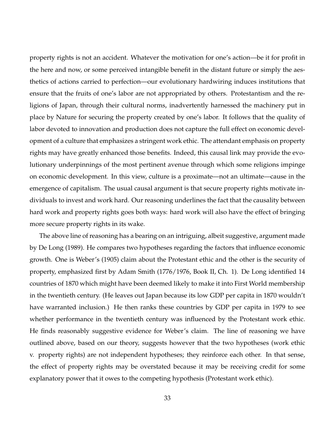property rights is not an accident. Whatever the motivation for one's action—be it for profit in the here and now, or some perceived intangible benefit in the distant future or simply the aesthetics of actions carried to perfection—our evolutionary hardwiring induces institutions that ensure that the fruits of one's labor are not appropriated by others. Protestantism and the religions of Japan, through their cultural norms, inadvertently harnessed the machinery put in place by Nature for securing the property created by one's labor. It follows that the quality of labor devoted to innovation and production does not capture the full effect on economic development of a culture that emphasizes a stringent work ethic. The attendant emphasis on property rights may have greatly enhanced those benefits. Indeed, this causal link may provide the evolutionary underpinnings of the most pertinent avenue through which some religions impinge on economic development. In this view, culture is a proximate—not an ultimate—cause in the emergence of capitalism. The usual causal argument is that secure property rights motivate individuals to invest and work hard. Our reasoning underlines the fact that the causality between hard work and property rights goes both ways: hard work will also have the effect of bringing more secure property rights in its wake.

The above line of reasoning has a bearing on an intriguing, albeit suggestive, argument made by De Long (1989). He compares two hypotheses regarding the factors that influence economic growth. One is Weber's (1905) claim about the Protestant ethic and the other is the security of property, emphasized first by Adam Smith (1776/1976, Book II, Ch. 1). De Long identified 14 countries of 1870 which might have been deemed likely to make it into First World membership in the twentieth century. (He leaves out Japan because its low GDP per capita in 1870 wouldn't have warranted inclusion.) He then ranks these countries by GDP per capita in 1979 to see whether performance in the twentieth century was influenced by the Protestant work ethic. He finds reasonably suggestive evidence for Weber's claim. The line of reasoning we have outlined above, based on our theory, suggests however that the two hypotheses (work ethic v. property rights) are not independent hypotheses; they reinforce each other. In that sense, the effect of property rights may be overstated because it may be receiving credit for some explanatory power that it owes to the competing hypothesis (Protestant work ethic).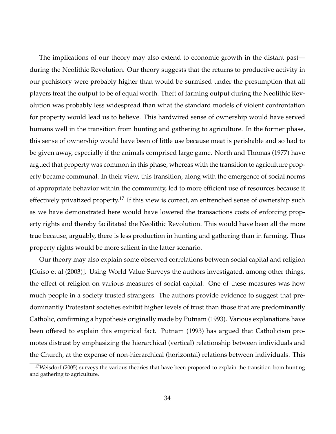The implications of our theory may also extend to economic growth in the distant past during the Neolithic Revolution. Our theory suggests that the returns to productive activity in our prehistory were probably higher than would be surmised under the presumption that all players treat the output to be of equal worth. Theft of farming output during the Neolithic Revolution was probably less widespread than what the standard models of violent confrontation for property would lead us to believe. This hardwired sense of ownership would have served humans well in the transition from hunting and gathering to agriculture. In the former phase, this sense of ownership would have been of little use because meat is perishable and so had to be given away, especially if the animals comprised large game. North and Thomas (1977) have argued that property was common in this phase, whereas with the transition to agriculture property became communal. In their view, this transition, along with the emergence of social norms of appropriate behavior within the community, led to more efficient use of resources because it effectively privatized property.<sup>17</sup> If this view is correct, an entrenched sense of ownership such as we have demonstrated here would have lowered the transactions costs of enforcing property rights and thereby facilitated the Neolithic Revolution. This would have been all the more true because, arguably, there is less production in hunting and gathering than in farming. Thus property rights would be more salient in the latter scenario.

Our theory may also explain some observed correlations between social capital and religion [Guiso et al (2003)]. Using World Value Surveys the authors investigated, among other things, the effect of religion on various measures of social capital. One of these measures was how much people in a society trusted strangers. The authors provide evidence to suggest that predominantly Protestant societies exhibit higher levels of trust than those that are predominantly Catholic, confirming a hypothesis originally made by Putnam (1993). Various explanations have been offered to explain this empirical fact. Putnam (1993) has argued that Catholicism promotes distrust by emphasizing the hierarchical (vertical) relationship between individuals and the Church, at the expense of non-hierarchical (horizontal) relations between individuals. This

 $17$ Weisdorf (2005) surveys the various theories that have been proposed to explain the transition from hunting and gathering to agriculture.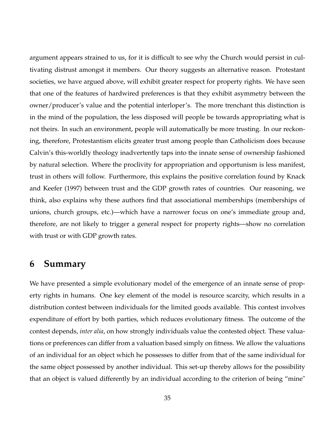argument appears strained to us, for it is difficult to see why the Church would persist in cultivating distrust amongst it members. Our theory suggests an alternative reason. Protestant societies, we have argued above, will exhibit greater respect for property rights. We have seen that one of the features of hardwired preferences is that they exhibit asymmetry between the owner/producer's value and the potential interloper's. The more trenchant this distinction is in the mind of the population, the less disposed will people be towards appropriating what is not theirs. In such an environment, people will automatically be more trusting. In our reckoning, therefore, Protestantism elicits greater trust among people than Catholicism does because Calvin's this-worldly theology inadvertently taps into the innate sense of ownership fashioned by natural selection. Where the proclivity for appropriation and opportunism is less manifest, trust in others will follow. Furthermore, this explains the positive correlation found by Knack and Keefer (1997) between trust and the GDP growth rates of countries. Our reasoning, we think, also explains why these authors find that associational memberships (memberships of unions, church groups, etc.)—which have a narrower focus on one's immediate group and, therefore, are not likely to trigger a general respect for property rights—show no correlation with trust or with GDP growth rates.

## **6 Summary**

We have presented a simple evolutionary model of the emergence of an innate sense of property rights in humans. One key element of the model is resource scarcity, which results in a distribution contest between individuals for the limited goods available. This contest involves expenditure of effort by both parties, which reduces evolutionary fitness. The outcome of the contest depends, *inter alia*, on how strongly individuals value the contested object. These valuations or preferences can differ from a valuation based simply on fitness. We allow the valuations of an individual for an object which he possesses to differ from that of the same individual for the same object possessed by another individual. This set-up thereby allows for the possibility that an object is valued differently by an individual according to the criterion of being "mine"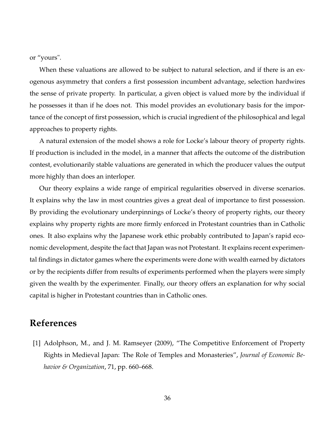or "yours".

When these valuations are allowed to be subject to natural selection, and if there is an exogenous asymmetry that confers a first possession incumbent advantage, selection hardwires the sense of private property. In particular, a given object is valued more by the individual if he possesses it than if he does not. This model provides an evolutionary basis for the importance of the concept of first possession, which is crucial ingredient of the philosophical and legal approaches to property rights.

A natural extension of the model shows a role for Locke's labour theory of property rights. If production is included in the model, in a manner that affects the outcome of the distribution contest, evolutionarily stable valuations are generated in which the producer values the output more highly than does an interloper.

Our theory explains a wide range of empirical regularities observed in diverse scenarios. It explains why the law in most countries gives a great deal of importance to first possession. By providing the evolutionary underpinnings of Locke's theory of property rights, our theory explains why property rights are more firmly enforced in Protestant countries than in Catholic ones. It also explains why the Japanese work ethic probably contributed to Japan's rapid economic development, despite the fact that Japan was not Protestant. It explains recent experimental findings in dictator games where the experiments were done with wealth earned by dictators or by the recipients differ from results of experiments performed when the players were simply given the wealth by the experimenter. Finally, our theory offers an explanation for why social capital is higher in Protestant countries than in Catholic ones.

## **References**

[1] Adolphson, M., and J. M. Ramseyer (2009), "The Competitive Enforcement of Property Rights in Medieval Japan: The Role of Temples and Monasteries", *Journal of Economic Behavior & Organization*, 71, pp. 660–668.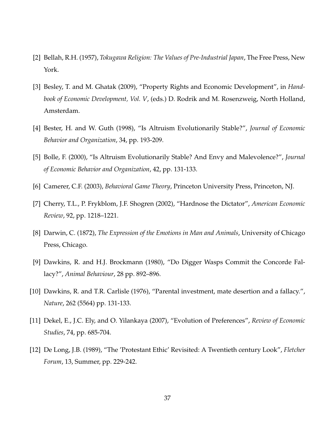- [2] Bellah, R.H. (1957), *Tokugawa Religion: The Values of Pre-Industrial Japan*, The Free Press, New York.
- [3] Besley, T. and M. Ghatak (2009), "Property Rights and Economic Development", in *Handbook of Economic Development, Vol. V*, (eds.) D. Rodrik and M. Rosenzweig, North Holland, Amsterdam.
- [4] Bester, H. and W. Guth (1998), "Is Altruism Evolutionarily Stable?", *Journal of Economic Behavior and Organization*, 34, pp. 193-209.
- [5] Bolle, F. (2000), "Is Altruism Evolutionarily Stable? And Envy and Malevolence?", *Journal of Economic Behavior and Organization*, 42, pp. 131-133.
- [6] Camerer, C.F. (2003), *Behavioral Game Theory*, Princeton University Press, Princeton, NJ.
- [7] Cherry, T.L., P. Frykblom, J.F. Shogren (2002), "Hardnose the Dictator", *American Economic Review*, 92, pp. 1218–1221.
- [8] Darwin, C. (1872), *The Expression of the Emotions in Man and Animals*, University of Chicago Press, Chicago.
- [9] Dawkins, R. and H.J. Brockmann (1980), "Do Digger Wasps Commit the Concorde Fallacy?", *Animal Behaviour*, 28 pp. 892–896.
- [10] Dawkins, R. and T.R. Carlisle (1976), "Parental investment, mate desertion and a fallacy.", *Nature*, 262 (5564) pp. 131-133.
- [11] Dekel, E., J.C. Ely, and O. Yilankaya (2007), "Evolution of Preferences", *Review of Economic Studies*, 74, pp. 685-704.
- [12] De Long, J.B. (1989), "The 'Protestant Ethic' Revisited: A Twentieth century Look", *Fletcher Forum*, 13, Summer, pp. 229-242.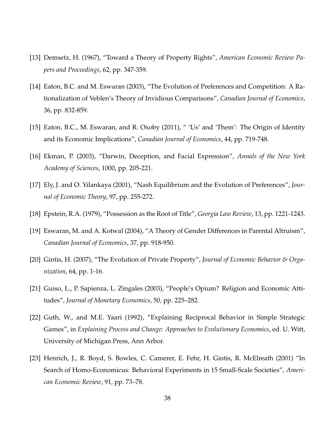- [13] Demsetz, H. (1967), "Toward a Theory of Property Rights", *American Economic Review Papers and Proceedings*, 62, pp. 347-359.
- [14] Eaton, B.C. and M. Eswaran (2003), "The Evolution of Preferences and Competition: A Rationalization of Veblen's Theory of Invidious Comparisons", *Canadian Journal of Economics*, 36, pp. 832-859.
- [15] Eaton, B.C., M. Eswaran, and R. Oxoby (2011), " 'Us' and 'Them': The Origin of Identity and its Economic Implications", *Canadian Journal of Economics*, 44, pp. 719-748.
- [16] Ekman, P. (2003), "Darwin, Deception, and Facial Expression", *Annals of the New York Academy of Sciences*, 1000, pp. 205-221.
- [17] Ely, J. and O. Yilankaya (2001), "Nash Equilibrium and the Evolution of Preferences", *Journal of Economic Theory*, 97, pp. 255-272.
- [18] Epstein, R.A. (1979), "Possession as the Root of Title", *Georgia Law Review*, 13, pp. 1221-1243.
- [19] Eswaran, M. and A. Kotwal (2004), "A Theory of Gender Differences in Parental Altruism", *Canadian Journal of Economics*, 37, pp. 918-950.
- [20] Gintis, H. (2007), "The Evolution of Private Property", *Journal of Economic Behavior & Organization*, 64, pp. 1-16.
- [21] Guiso, L., P. Sapienza, L. Zingales (2003), "People's Opium? Religion and Economic Attitudes", *Journal of Monetary Economics*, 50, pp. 225–282.
- [22] Guth, W., and M.E. Yaari (1992), "Explaining Reciprocal Behavior in Simple Strategic Games", in *Explaining Process and Change: Approaches to Evolutionary Economics*, ed. U. Witt, University of Michigan Press, Ann Arbor.
- [23] Henrich, J., R. Boyd, S. Bowles, C. Camerer, E. Fehr, H. Gintis, R. McElreath (2001) "In Search of Homo-Economicus: Behavioral Experiments in 15 Small-Scale Societies", *American Economic Review*, 91, pp. 73–78.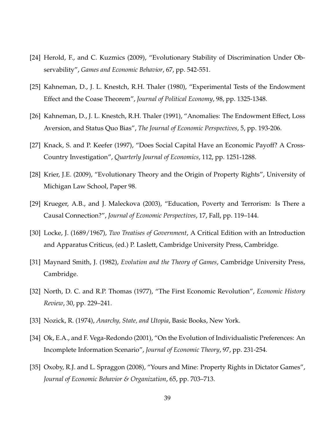- [24] Herold, F., and C. Kuzmics (2009), "Evolutionary Stability of Discrimination Under Observability", *Games and Economic Behavior*, 67, pp. 542-551.
- [25] Kahneman, D., J. L. Knestch, R.H. Thaler (1980), "Experimental Tests of the Endowment Effect and the Coase Theorem", *Journal of Political Economy*, 98, pp. 1325-1348.
- [26] Kahneman, D., J. L. Knestch, R.H. Thaler (1991), "Anomalies: The Endowment Effect, Loss Aversion, and Status Quo Bias", *The Journal of Economic Perspectives*, 5, pp. 193-206.
- [27] Knack, S. and P. Keefer (1997), "Does Social Capital Have an Economic Payoff? A Cross-Country Investigation", *Quarterly Journal of Economics*, 112, pp. 1251-1288.
- [28] Krier, J.E. (2009), "Evolutionary Theory and the Origin of Property Rights", University of Michigan Law School, Paper 98.
- [29] Krueger, A.B., and J. Maleckova (2003), "Education, Poverty and Terrorism: Is There a Causal Connection?", *Journal of Economic Perspectives*, 17, Fall, pp. 119–144.
- [30] Locke, J. (1689/1967), *Two Treatises of Government*, A Critical Edition with an Introduction and Apparatus Criticus, (ed.) P. Laslett, Cambridge University Press, Cambridge.
- [31] Maynard Smith, J. (1982), *Evolution and the Theory of Games*, Cambridge University Press, Cambridge.
- [32] North, D. C. and R.P. Thomas (1977), "The First Economic Revolution", *Economic History Review*, 30, pp. 229–241.
- [33] Nozick, R. (1974), *Anarchy, State, and Utopia*, Basic Books, New York.
- [34] Ok, E.A., and F. Vega-Redondo (2001), "On the Evolution of Individualistic Preferences: An Incomplete Information Scenario", *Journal of Economic Theory*, 97, pp. 231-254.
- [35] Oxoby, R.J. and L. Spraggon (2008), "Yours and Mine: Property Rights in Dictator Games", *Journal of Economic Behavior & Organization*, 65, pp. 703–713.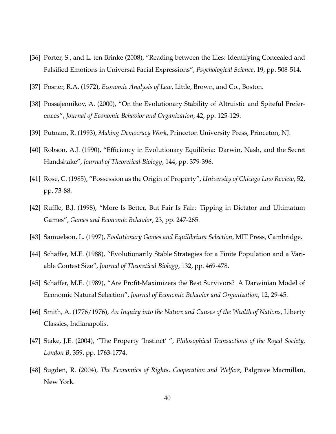- [36] Porter, S., and L. ten Brinke (2008), "Reading between the Lies: Identifying Concealed and Falsified Emotions in Universal Facial Expressions", *Psychological Science*, 19, pp. 508-514.
- [37] Posner, R.A. (1972), *Economic Analysis of Law*, Little, Brown, and Co., Boston.
- [38] Possajennikov, A. (2000), "On the Evolutionary Stability of Altruistic and Spiteful Preferences", *Journal of Economic Behavior and Organization*, 42, pp. 125-129.
- [39] Putnam, R. (1993), *Making Democracy Work*, Princeton University Press, Princeton, NJ.
- [40] Robson, A.J. (1990), "Efficiency in Evolutionary Equilibria: Darwin, Nash, and the Secret Handshake", *Journal of Theoretical Biology*, 144, pp. 379-396.
- [41] Rose, C. (1985), "Possession as the Origin of Property", *University of Chicago Law Review*, 52, pp. 73-88.
- [42] Ruffle, B.J. (1998), "More Is Better, But Fair Is Fair: Tipping in Dictator and Ultimatum Games", *Games and Economic Behavior*, 23, pp. 247-265.
- [43] Samuelson, L. (1997), *Evolutionary Games and Equilibrium Selection*, MIT Press, Cambridge.
- [44] Schaffer, M.E. (1988), "Evolutionarily Stable Strategies for a Finite Population and a Variable Contest Size", *Journal of Theoretical Biology*, 132, pp. 469-478.
- [45] Schaffer, M.E. (1989), "Are Profit-Maximizers the Best Survivors? A Darwinian Model of Economic Natural Selection", *Journal of Economic Behavior and Organization*, 12, 29-45.
- [46] Smith, A. (1776/1976), *An Inquiry into the Nature and Causes of the Wealth of Nations*, Liberty Classics, Indianapolis.
- [47] Stake, J.E. (2004), "The Property 'Instinct' ", *Philosophical Transactions of the Royal Society, London B*, 359, pp. 1763-1774.
- [48] Sugden, R. (2004), *The Economics of Rights, Cooperation and Welfare*, Palgrave Macmillan, New York.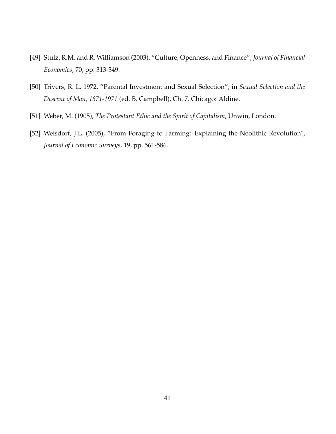- [49] Stulz, R.M. and R. Williamson (2003), "Culture, Openness, and Finance", *Journal of Financial Economics*, 70, pp. 313-349.
- [50] Trivers, R. L. 1972. "Parental Investment and Sexual Selection", in *Sexual Selection and the Descent of Man, 1871-1971* (ed. B. Campbell), Ch. 7. Chicago: Aldine.
- [51] Weber, M. (1905), *The Protestant Ethic and the Spirit of Capitalism*, Unwin, London.
- [52] Weisdorf, J.L. (2005), "From Foraging to Farming: Explaining the Neolithic Revolution", *Journal of Economic Surveys*, 19, pp. 561-586.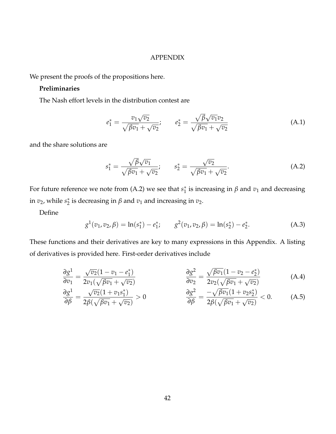#### APPENDIX

We present the proofs of the propositions here.

### **Preliminaries**

The Nash effort levels in the distribution contest are

$$
e_1^* = \frac{v_1\sqrt{v_2}}{\sqrt{\beta v_1} + \sqrt{v_2}}; \qquad e_2^* = \frac{\sqrt{\beta}\sqrt{v_1}v_2}{\sqrt{\beta v_1} + \sqrt{v_2}}
$$
(A.1)

and the share solutions are

$$
s_1^* = \frac{\sqrt{\beta}\sqrt{v_1}}{\sqrt{\beta v_1} + \sqrt{v_2}}; \qquad s_2^* = \frac{\sqrt{v_2}}{\sqrt{\beta v_1} + \sqrt{v_2}}.
$$
 (A.2)

For future reference we note from (A.2) we see that  $s_1^*$  is increasing in  $\beta$  and  $v_1$  and decreasing in  $v_2$ , while  $s_2^*$  is decreasing in  $\beta$  and  $v_1$  and increasing in  $v_2$ .

Define

$$
g^{1}(v_{1}, v_{2}, \beta) = \ln(s_{1}^{*}) - e_{1}^{*}; \qquad g^{2}(v_{1}, v_{2}, \beta) = \ln(s_{2}^{*}) - e_{2}^{*}.
$$
 (A.3)

These functions and their derivatives are key to many expressions in this Appendix. A listing of derivatives is provided here. First-order derivatives include

$$
\frac{\partial g^1}{\partial v_1} = \frac{\sqrt{v_2}(1 - v_1 - e_1^*)}{2v_1(\sqrt{\beta v_1} + \sqrt{v_2})} \qquad \frac{\partial g^2}{\partial v_2} = \frac{\sqrt{\beta v_1}(1 - v_2 - e_2^*)}{2v_2(\sqrt{\beta v_1} + \sqrt{v_2})} \qquad (A.4)
$$
\n
$$
\frac{\partial g^1}{\partial v_1} = \frac{\sqrt{v_2}(1 + v_1 s_1^*)}{\sqrt{v_2}(1 + v_1 s_1^*)} \qquad \frac{\partial g^2}{\partial v_2} = \frac{\sqrt{\beta v_1}(1 - v_2 - e_2^*)}{2v_2(\sqrt{\beta v_1} + \sqrt{v_2})} \qquad (A.5)
$$

$$
\frac{\partial g^1}{\partial \beta} = \frac{\sqrt{v_2(1 + v_1 s_1^2)}}{2\beta(\sqrt{\beta v_1} + \sqrt{v_2})} > 0 \qquad \qquad \frac{\partial g^2}{\partial \beta} = \frac{-\sqrt{\beta v_1(1 + v_2 s_2^2)}}{2\beta(\sqrt{\beta v_1} + \sqrt{v_2})} < 0. \qquad (A.5)
$$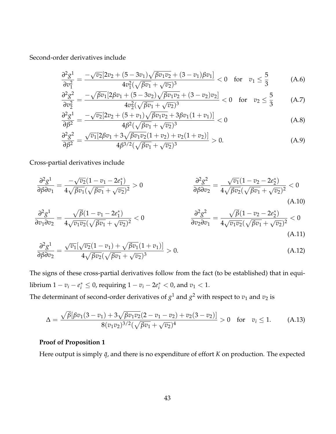Second-order derivatives include

$$
\frac{\partial^2 g^1}{\partial v_1^2} = \frac{-\sqrt{v_2} [2v_2 + (5 - 3v_1)\sqrt{\beta v_1 v_2} + (3 - v_1)\beta v_1]}{4v_1^2(\sqrt{\beta v_1} + \sqrt{v_2})^3} < 0 \quad \text{for} \quad v_1 \le \frac{5}{3}
$$
 (A.6)

$$
\frac{\partial^2 g^2}{\partial v_2^2} = \frac{-\sqrt{\beta v_1} [2\beta v_1 + (5 - 3v_2)\sqrt{\beta v_1 v_2} + (3 - v_2)v_2]}{4v_2^2(\sqrt{\beta v_1} + \sqrt{v_2})^3} < 0 \quad \text{for} \quad v_2 \le \frac{5}{3}
$$
 (A.7)

$$
\frac{\partial^2 g^1}{\partial \beta^2} = \frac{-\sqrt{v_2} [2v_2 + (5+v_1)\sqrt{\beta v_1 v_2} + 3\beta v_1 (1+v_1)]}{4\beta^2 (\sqrt{\beta v_1} + \sqrt{v_2})^3} < 0
$$
\n(A.8)

$$
\frac{\partial^2 g^2}{\partial \beta^2} = \frac{\sqrt{v_1} [2\beta v_1 + 3\sqrt{\beta v_1 v_2} (1 + v_2) + v_2 (1 + v_2)]}{4\beta^{3/2} (\sqrt{\beta v_1} + \sqrt{v_2})^3} > 0.
$$
 (A.9)

Cross-partial derivatives include

$$
\frac{\partial^2 g^1}{\partial \beta \partial v_1} = \frac{-\sqrt{v_2}(1 - v_1 - 2e_1^*)}{4\sqrt{\beta v_1}(\sqrt{\beta v_1} + \sqrt{v_2})^2} > 0
$$
\n
$$
\frac{\partial^2 g^2}{\partial \beta \partial v_2} = \frac{\sqrt{v_1}(1 - v_2 - 2e_2^*)}{4\sqrt{\beta v_2}(\sqrt{\beta v_1} + \sqrt{v_2})^2} < 0
$$
\n(A.10)

$$
\frac{\partial^2 g^1}{\partial v_1 \partial v_2} = \frac{\sqrt{\beta}(1 - v_1 - 2e_1^*)}{4\sqrt{v_1 v_2} (\sqrt{\beta v_1} + \sqrt{v_2})^2} < 0 \qquad \qquad \frac{\partial^2 g^2}{\partial v_2 \partial v_1} = \frac{\sqrt{\beta}(1 - v_2 - 2e_2^*)}{4\sqrt{v_1 v_2} (\sqrt{\beta v_1} + \sqrt{v_2})^2} < 0 \qquad (A.11)
$$

$$
\frac{\partial^2 g^1}{\partial \beta \partial v_2} = \frac{\sqrt{v_1}[\sqrt{v_2}(1-v_1) + \sqrt{\beta v_1}(1+v_1)]}{4\sqrt{\beta v_2}(\sqrt{\beta v_1} + \sqrt{v_2})^3} > 0.
$$
\n(A.12)

The signs of these cross-partial derivatives follow from the fact (to be established) that in equilibrium  $1 - v_i - e_i^* \leq 0$ , requiring  $1 - v_i - 2e_i^* < 0$ , and  $v_1 < 1$ . The determinant of second-order derivatives of  $g^1$  and  $g^2$  with respect to  $v_1$  and  $v_2$  is

$$
\Delta = \frac{\sqrt{\beta}[\beta v_1(3 - v_1) + 3\sqrt{\beta v_1 v_2}(2 - v_1 - v_2) + v_2(3 - v_2)]}{8(v_1 v_2)^{3/2}(\sqrt{\beta v_1} + \sqrt{v_2})^4} > 0 \quad \text{for} \quad v_i \le 1. \tag{A.13}
$$

## **Proof of Proposition 1**

Here output is simply  $\bar{q}$ , and there is no expenditure of effort *K* on production. The expected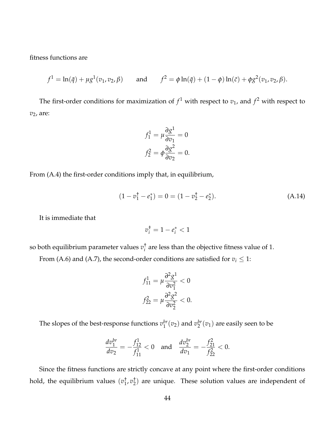fitness functions are

$$
f^{1} = \ln(\bar{q}) + \mu g^{1}(v_{1}, v_{2}, \beta)
$$
 and  $f^{2} = \phi \ln(\bar{q}) + (1 - \phi) \ln(\bar{c}) + \phi g^{2}(v_{1}, v_{2}, \beta).$ 

The first-order conditions for maximization of  $f^1$  with respect to  $v_1$ , and  $f^2$  with respect to *v*2, are:

$$
f_1^1 = \mu \frac{\partial g^1}{\partial v_1} = 0
$$

$$
f_2^2 = \phi \frac{\partial g^2}{\partial v_2} = 0.
$$

From (A.4) the first-order conditions imply that, in equilibrium,

$$
(1 - v_1^{\dagger} - e_1^{\dagger}) = 0 = (1 - v_2^{\dagger} - e_2^{\dagger}). \tag{A.14}
$$

It is immediate that

$$
v_i^\dagger = 1 - e_i^* < 1
$$

so both equilibrium parameter values *v* †  $i$ <sub>i</sub> are less than the objective fitness value of 1.

From (A.6) and (A.7), the second-order conditions are satisfied for  $v_i \leq 1$ :

$$
f_{11}^1 = \mu \frac{\partial^2 g^1}{\partial v_1^2} < 0
$$

$$
f_{22}^2 = \mu \frac{\partial^2 g^2}{\partial v_2^2} < 0.
$$

The slopes of the best-response functions  $v_1^{br}$  $_1^{br}(v_2)$  and  $v_2^{br}$  $2^{br}(v_1)$  are easily seen to be

$$
\frac{dv_1^{br}}{dv_2} = -\frac{f_{12}^1}{f_{11}^1} < 0 \quad \text{and} \quad \frac{dv_2^{br}}{dv_1} = -\frac{f_{21}^2}{f_{22}^2} < 0.
$$

Since the fitness functions are strictly concave at any point where the first-order conditions hold, the equilibrium values (*v* †  $\frac{1}{1}$ ,  $v_2^+$  $_{2}^{+}$ ) are unique. These solution values are independent of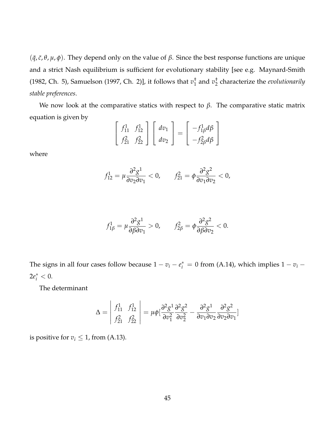$(\bar{q}, \bar{c}, \theta, \mu, \phi)$ . They depend only on the value of  $\beta$ . Since the best response functions are unique and a strict Nash equilibrium is sufficient for evolutionary stability [see e.g. Maynard-Smith (1982, Ch. 5), Samuelson (1997, Ch. 2)], it follows that *v* †  $1\overline{1}$  and  $v_2$ <sup>+</sup> 2 characterize the *evolutionarily stable preferences*.

We now look at the comparative statics with respect to  $β$ . The comparative static matrix equation is given by

$$
\begin{bmatrix} f_{11}^1 & f_{12}^1 \\ f_{21}^2 & f_{22}^2 \end{bmatrix} \begin{bmatrix} dv_1 \\ dv_2 \end{bmatrix} = \begin{bmatrix} -f_{1\beta}^1 d\beta \\ -f_{2\beta}^2 d\beta \end{bmatrix}
$$

where

$$
f_{12}^1 = \mu \frac{\partial^2 g^1}{\partial v_2 \partial v_1} < 0, \qquad f_{21}^2 = \phi \frac{\partial^2 g^2}{\partial v_1 \partial v_2} < 0,
$$

$$
f_{1\beta}^1 = \mu \frac{\partial^2 g^1}{\partial \beta \partial v_1} > 0, \qquad f_{2\beta}^2 = \phi \frac{\partial^2 g^2}{\partial \beta \partial v_2} < 0.
$$

The signs in all four cases follow because  $1 - v_i - e_i^* = 0$  from (A.14), which implies  $1 - v_i 2e_i^* < 0.$ 

The determinant

$$
\Delta = \begin{vmatrix} f_{11}^1 & f_{12}^1 \\ f_{21}^2 & f_{22}^2 \end{vmatrix} = \mu \phi \left[ \frac{\partial^2 g^1}{\partial v_1^2} \frac{\partial^2 g^2}{\partial v_2^2} - \frac{\partial^2 g^1}{\partial v_1 \partial v_2} \frac{\partial^2 g^2}{\partial v_2 \partial v_1} \right]
$$

is positive for  $v_i \leq 1$ , from (A.13).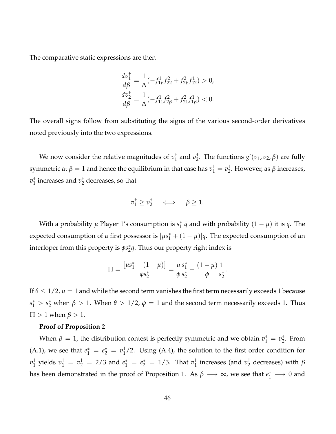The comparative static expressions are then

$$
\frac{dv_1^{\dagger}}{d\beta} = \frac{1}{\Delta}(-f_{1\beta}^1 f_{22}^2 + f_{2\beta}^2 f_{12}^1) > 0,
$$
  

$$
\frac{dv_2^{\dagger}}{d\beta} = \frac{1}{\Delta}(-f_{11}^1 f_{2\beta}^2 + f_{21}^2 f_{1\beta}^1) < 0.
$$

The overall signs follow from substituting the signs of the various second-order derivatives noted previously into the two expressions.

We now consider the relative magnitudes of *v* †  $1\overline{1}$  and  $v_2$ <sup>+</sup> <sup>†</sup><sub>2</sub>. The functions  $g^i(v_1, v_2, β)$  are fully symmetric at  $\beta = 1$  and hence the equilibrium in that case has  $v_1^\dagger = v_2^\dagger$ 2 . However, as *β* increases,  $v_1^{\dagger}$  $_1^{\dagger}$  increases and  $v_2^{\dagger}$  $\frac{1}{2}$  decreases, so that

$$
v_1^{\dagger} \geq v_2^{\dagger} \quad \iff \quad \beta \geq 1.
$$

With a probability  $\mu$  Player 1's consumption is  $s_1^*$   $\bar{q}$  and with probability  $(1 - \mu)$  it is  $\bar{q}$ . The expected consumption of a first possessor is  $[\mu s_1^* + (1 - \mu)] \bar{q}$ . The expected consumption of an interloper from this property is  $\phi s_2^*{\bar q}.$  Thus our property right index is

$$
\Pi = \frac{[\mu s_1^* + (1 - \mu)]}{\phi s_2^*} = \frac{\mu s_1^*}{\phi s_2^*} + \frac{(1 - \mu)}{\phi s_2^*}.
$$

If  $\theta \leq 1/2$ ,  $\mu = 1$  and while the second term vanishes the first term necessarily exceeds 1 because  $s_1^* > s_2^*$  when  $β > 1$ . When  $θ > 1/2$ ,  $φ = 1$  and the second term necessarily exceeds 1. Thus  $\Pi > 1$  when  $\beta > 1$ .

#### **Proof of Proposition 2**

When  $\beta = 1$ , the distribution contest is perfectly symmetric and we obtain  $v_1^+ = v_2^+$  $\frac{1}{2}$ . From (A.1), we see that  $e_1^* = e_2^* = v_1^{\dagger}$  $_{1}^{+}/2$ . Using (A.4), the solution to the first order condition for  $v_1^{\dagger}$  $\frac{1}{1}$  yields  $v_1^{\dagger} = v_2^{\dagger} = 2/3$  and  $e_1^* = e_2^* = 1/3$ . That  $v_1^{\dagger}$  $_1^{\dagger}$  increases (and  $v_2^{\dagger}$ 2 decreases) with *β* has been demonstrated in the proof of Proposition 1. As  $\beta \longrightarrow \infty$ , we see that  $e_1^* \longrightarrow 0$  and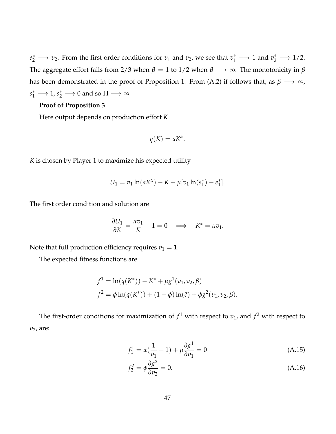$e_2^* \longrightarrow v_2$ . From the first order conditions for  $v_1$  and  $v_2$ , we see that  $v_1^{\dagger} \longrightarrow 1$  and  $v_2^{\dagger} \longrightarrow 1/2$ . The aggregate effort falls from 2/3 when  $\beta = 1$  to 1/2 when  $\beta \longrightarrow \infty$ . The monotonicity in  $\beta$ has been demonstrated in the proof of Proposition 1. From (A.2) if follows that, as  $\beta \longrightarrow \infty$ ,  $s_1^* \longrightarrow 1$ ,  $s_2^* \longrightarrow 0$  and so  $\Pi \longrightarrow \infty$ .

#### **Proof of Proposition 3**

Here output depends on production effort *K*

$$
q(K) = aK^{\alpha}.
$$

*K* is chosen by Player 1 to maximize his expected utility

$$
U_1 = v_1 \ln(aK^{\alpha}) - K + \mu[v_1 \ln(s_1^*) - e_1^*].
$$

The first order condition and solution are

$$
\frac{\partial U_1}{\partial K} = \frac{\alpha v_1}{K} - 1 = 0 \quad \Longrightarrow \quad K^* = \alpha v_1.
$$

Note that full production efficiency requires  $v_1 = 1$ .

The expected fitness functions are

$$
f1 = \ln(q(K*)) - K* + \mu g1(v1, v2, \beta)
$$
  

$$
f2 = \phi \ln(q(K*)) + (1 - \phi) \ln(\bar{c}) + \phi g2(v1, v2, \beta).
$$

The first-order conditions for maximization of  $f^1$  with respect to  $v_1$ , and  $f^2$  with respect to *v*2, are:

$$
f_1^1 = \alpha(\frac{1}{v_1} - 1) + \mu \frac{\partial g^1}{\partial v_1} = 0
$$
 (A.15)

$$
f_2^2 = \phi \frac{\partial g^2}{\partial v_2} = 0. \tag{A.16}
$$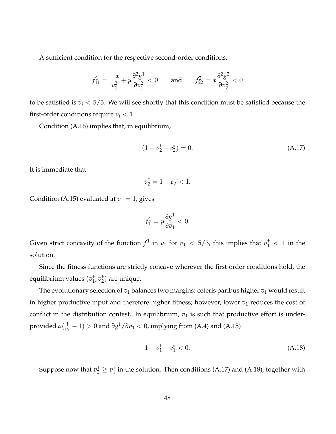A sufficient condition for the respective second-order conditions,

$$
f_{11}^1 = \frac{-\alpha}{v_1^2} + \mu \frac{\partial^2 g^1}{\partial v_1^2} < 0 \quad \text{and} \quad f_{22}^2 = \phi \frac{\partial^2 g^2}{\partial v_2^2} < 0
$$

to be satisfied is  $v_i < 5/3$ . We will see shortly that this condition must be satisfied because the first-order conditions require  $v_i < 1$ .

Condition (A.16) implies that, in equilibrium,

$$
(1 - v_2^{\dagger} - e_2^*) = 0. \tag{A.17}
$$

It is immediate that

$$
v_2^{\dagger} = 1 - e_2^* < 1.
$$

Condition (A.15) evaluated at  $v_1 = 1$ , gives

$$
f_1^1 = \mu \frac{\partial g^1}{\partial v_1} < 0.
$$

Given strict concavity of the function  $f^1$  in  $v_1$  for  $v_1 < 5/3$ , this implies that  $v_1^{\dagger} < 1$  in the solution.

Since the fitness functions are strictly concave wherever the first-order conditions hold, the equilibrium values (*v* †  $\frac{1}{1}$ ,  $v_2^+$  $_2^{\uparrow}$ ) are unique.

The evolutionary selection of  $v_1$  balances two margins: ceteris paribus higher  $v_1$  would result in higher productive input and therefore higher fitness; however, lower  $v_1$  reduces the cost of conflict in the distribution contest. In equilibrium,  $v_1$  is such that productive effort is underprovided *α*( 1  $\frac{1}{v_1}$  − 1) > 0 and *∂g*<sup>1</sup>/*∂v*<sub>1</sub> < 0, implying from (A.4) and (A.15)

$$
1 - v_1^+ - e_1^* < 0. \tag{A.18}
$$

Suppose now that  $v_2^{\dagger} \geq v_1^{\dagger}$  $_{1}^{+}$  in the solution. Then conditions (A.17) and (A.18), together with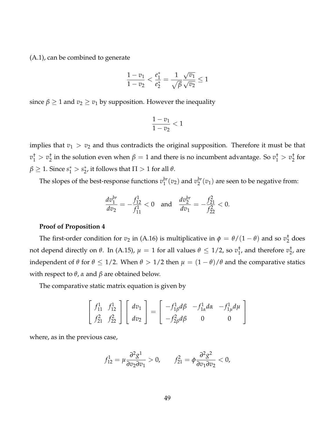(A.1), can be combined to generate

$$
\frac{1 - v_1}{1 - v_2} < \frac{e_1^*}{e_2^*} = \frac{1}{\sqrt{\beta}} \frac{\sqrt{v_1}}{\sqrt{v_2}} \le 1
$$

since  $\beta \geq 1$  and  $v_2 \geq v_1$  by supposition. However the inequality

$$
\frac{1-v_1}{1-v_2}<1
$$

implies that  $v_1 > v_2$  and thus contradicts the original supposition. Therefore it must be that  $v_1^{\dagger} > v_2^{\dagger}$  $\frac{1}{2}$  in the solution even when  $\beta = 1$  and there is no incumbent advantage. So  $v_1^{\dagger} > v_2^{\dagger}$  $\frac{1}{2}$  for  $\beta \geq 1$ . Since  $s_1^* > s_2^*$ , it follows that  $\Pi > 1$  for all  $\theta$ .

The slopes of the best-response functions  $v_1^{br}$  $_1^{br}(v_2)$  and  $v_2^{br}$  $2^{b r}(v_1)$  are seen to be negative from:

$$
\frac{dv_1^{br}}{dv_2} = -\frac{f_{12}^1}{f_{11}^1} < 0 \quad \text{and} \quad \frac{dv_2^{br}}{dv_1} = -\frac{f_{21}^2}{f_{22}^2} < 0.
$$

#### **Proof of Proposition 4**

The first-order condition for  $v_2$  in (A.16) is multiplicative in  $\phi = \theta/(1-\theta)$  and so  $v_2^{\dagger}$  $\frac{1}{2}$  does not depend directly on *θ*. In (A.15),  $\mu = 1$  for all values  $\theta \le 1/2$ , so  $v_1^{\dagger}$  $_1^{\dagger}$ , and therefore  $v_2^{\dagger}$  $_2^{\text{t}}$ , are independent of  $\theta$  for  $\theta \le 1/2$ . When  $\theta > 1/2$  then  $\mu = (1 - \theta)/\theta$  and the comparative statics with respect to *θ*, *α* and *β* are obtained below.

The comparative static matrix equation is given by

$$
\begin{bmatrix} f_{11}^1 & f_{12}^1 \\ f_{21}^2 & f_{22}^2 \end{bmatrix} \begin{bmatrix} dv_1 \\ dv_2 \end{bmatrix} = \begin{bmatrix} -f_{1\beta}^1 d\beta & -f_{1\alpha}^1 d\alpha & -f_{1\mu}^1 d\mu \\ -f_{2\beta}^2 d\beta & 0 & 0 \end{bmatrix}
$$

where, as in the previous case,

$$
f_{12}^1 = \mu \frac{\partial^2 g^1}{\partial v_2 \partial v_1} > 0, \qquad f_{21}^2 = \phi \frac{\partial^2 g^2}{\partial v_1 \partial v_2} < 0,
$$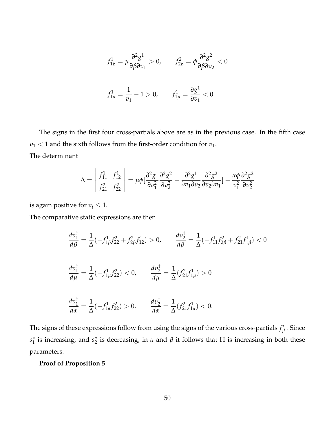$$
f_{1\beta}^1 = \mu \frac{\partial^2 g^1}{\partial \beta \partial v_1} > 0, \qquad f_{2\beta}^2 = \phi \frac{\partial^2 g^2}{\partial \beta \partial v_2} < 0
$$
  

$$
f_{1\alpha}^1 = \frac{1}{v_1} - 1 > 0, \qquad f_{1\mu}^1 = \frac{\partial g^1}{\partial v_1} < 0.
$$

The signs in the first four cross-partials above are as in the previous case. In the fifth case  $v_1$  < 1 and the sixth follows from the first-order condition for  $v_1$ . The determinant

$$
\Delta = \begin{vmatrix} f_{11}^1 & f_{12}^1 \\ f_{21}^2 & f_{22}^2 \end{vmatrix} = \mu \phi \left[ \frac{\partial^2 g^1}{\partial v_1^2} \frac{\partial^2 g^2}{\partial v_2^2} - \frac{\partial^2 g^1}{\partial v_1 \partial v_2} \frac{\partial^2 g^2}{\partial v_2 \partial v_1} \right] - \frac{\alpha \phi}{v_1^2} \frac{\partial^2 g^2}{\partial v_2^2}
$$

is again positive for  $v_i \leq 1$ .

The comparative static expressions are then

$$
\frac{dv_1^{\dagger}}{d\beta} = \frac{1}{\Delta}(-f_{1\beta}^1 f_{22}^2 + f_{2\beta}^2 f_{12}^1) > 0, \qquad \frac{dv_2^{\dagger}}{d\beta} = \frac{1}{\Delta}(-f_{11}^1 f_{2\beta}^2 + f_{21}^2 f_{1\beta}^1) < 0
$$
  

$$
\frac{dv_1^{\dagger}}{d\mu} = \frac{1}{\Delta}(-f_{1\mu}^1 f_{22}^2) < 0, \qquad \frac{dv_2^{\dagger}}{d\mu} = \frac{1}{\Delta}(f_{21}^2 f_{1\mu}^1) > 0
$$
  

$$
\frac{dv_1^{\dagger}}{d\alpha} = \frac{1}{\Delta}(-f_{1\alpha}^1 f_{22}^2) > 0, \qquad \frac{dv_2^{\dagger}}{d\alpha} = \frac{1}{\Delta}(f_{21}^2 f_{1\alpha}^1) < 0.
$$

The signs of these expressions follow from using the signs of the various cross-partials  $f^i_{jk}$ . Since  $s_1^*$  is increasing, and  $s_2^*$  is decreasing, in *α* and *β* it follows that Π is increasing in both these parameters.

## **Proof of Proposition 5**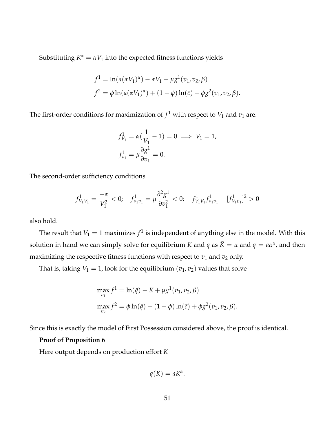Substituting  $K^* = \alpha V_1$  into the expected fitness functions yields

$$
f^{1} = \ln(a(\alpha V_{1})^{\alpha}) - \alpha V_{1} + \mu g^{1}(v_{1}, v_{2}, \beta)
$$
  

$$
f^{2} = \phi \ln(a(\alpha V_{1})^{\alpha}) + (1 - \phi) \ln(\bar{c}) + \phi g^{2}(v_{1}, v_{2}, \beta).
$$

The first-order conditions for maximization of  $f^1$  with respect to  $V_1$  and  $v_1$  are:

$$
f_{V_1}^1 = \alpha(\frac{1}{V_1} - 1) = 0 \implies V_1 = 1,
$$
  

$$
f_{v_1}^1 = \mu \frac{\partial g^1}{\partial v_1} = 0.
$$

The second-order sufficiency conditions

$$
f_{V_1V_1}^1 = \frac{-\alpha}{V_1^2} < 0; \quad f_{v_1v_1}^1 = \mu \frac{\partial^2 g^1}{\partial v_1^2} < 0; \quad f_{V_1V_1}^1 f_{v_1v_1}^1 - [f_{V_1v_1}^1]^2 > 0
$$

also hold.

The result that  $V_1 = 1$  maximizes  $f^1$  is independent of anything else in the model. With this solution in hand we can simply solve for equilibrium *K* and *q* as  $\bar{K} = \alpha$  and  $\bar{q} = a\alpha^{\alpha}$ , and then maximizing the respective fitness functions with respect to  $v_1$  and  $v_2$  only.

That is, taking  $V_1 = 1$ , look for the equilibrium  $(v_1, v_2)$  values that solve

$$
\max_{v_1} f^1 = \ln(\bar{q}) - \bar{K} + \mu g^1(v_1, v_2, \beta)
$$
  

$$
\max_{v_2} f^2 = \phi \ln(\bar{q}) + (1 - \phi) \ln(\bar{c}) + \phi g^2(v_1, v_2, \beta).
$$

Since this is exactly the model of First Possession considered above, the proof is identical.

#### **Proof of Proposition 6**

Here output depends on production effort *K*

$$
q(K) = aK^{\alpha}.
$$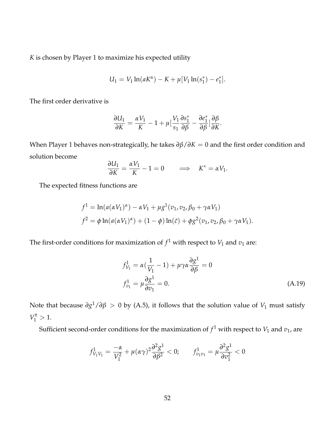*K* is chosen by Player 1 to maximize his expected utility

$$
U_1 = V_1 \ln(aK^{\alpha}) - K + \mu[V_1 \ln(s_1^*) - e_1^*].
$$

The first order derivative is

$$
\frac{\partial U_1}{\partial K} = \frac{\alpha V_1}{K} - 1 + \mu \left[ \frac{V_1}{s_1} \frac{\partial s_1^*}{\partial \beta} - \frac{\partial e_1^*}{\partial \beta} \right] \frac{\partial \beta}{\partial K}.
$$

When Player 1 behaves non-strategically, he takes *∂β*/*∂K* = 0 and the first order condition and solution become

$$
\frac{\partial U_1}{\partial K} = \frac{\alpha V_1}{K} - 1 = 0 \qquad \Longrightarrow \quad K^* = \alpha V_1.
$$

The expected fitness functions are

$$
f^{1} = \ln(a(\alpha V_{1})^{\alpha}) - \alpha V_{1} + \mu g^{1}(v_{1}, v_{2}, \beta_{0} + \gamma \alpha V_{1})
$$
  

$$
f^{2} = \phi \ln(a(\alpha V_{1})^{\alpha}) + (1 - \phi) \ln(\bar{c}) + \phi g^{2}(v_{1}, v_{2}, \beta_{0} + \gamma \alpha V_{1}).
$$

The first-order conditions for maximization of  $f^1$  with respect to  $V_1$  and  $v_1$  are:

$$
f_{V_1}^1 = \alpha \left( \frac{1}{V_1} - 1 \right) + \mu \gamma \alpha \frac{\partial g^1}{\partial \beta} = 0
$$
  

$$
f_{v_1}^1 = \mu \frac{\partial g^1}{\partial v_1} = 0.
$$
 (A.19)

Note that because *∂g* <sup>1</sup>/*∂β* > 0 by (A.5), it follows that the solution value of *V*<sup>1</sup> must satisfy  $V_1^{\dagger} > 1.$ 

Sufficient second-order conditions for the maximization of  $f^1$  with respect to  $V_1$  and  $v_1$ , are

$$
f_{V_1V_1}^1 = \frac{-\alpha}{V_1^2} + \mu(\alpha\gamma)^2 \frac{\partial^2 g^1}{\partial \beta^2} < 0; \qquad f_{v_1v_1}^1 = \mu \frac{\partial^2 g^1}{\partial v_1^2} < 0
$$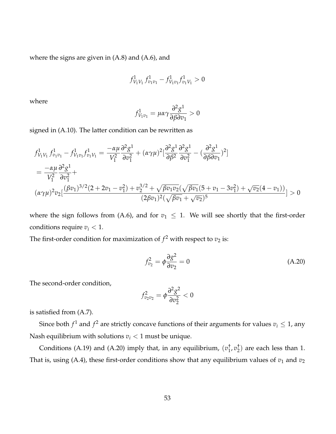where the signs are given in  $(A.8)$  and  $(A.6)$ , and

$$
f_{V_1V_1}^1 f_{v_1v_1}^1 - f_{V_1v_1}^1 f_{v_1V_1}^1 > 0
$$

where

$$
f_{V_1v_1}^1 = \mu \alpha \gamma \frac{\partial^2 g^1}{\partial \beta \partial v_1} > 0
$$

signed in (A.10). The latter condition can be rewritten as

$$
f_{V_1V_1}^1 f_{v_1v_1}^1 - f_{V_1v_1}^1 f_{v_1V_1}^1 = \frac{-\alpha\mu}{V_1^2} \frac{\partial^2 g^1}{\partial v_1^2} + (\alpha\gamma\mu)^2 \left[\frac{\partial^2 g^1}{\partial \beta^2} \frac{\partial^2 g^1}{\partial v_1^2} - \left(\frac{\partial^2 g^1}{\partial \beta \partial v_1}\right)^2\right]
$$
  
=  $\frac{-\alpha\mu}{V_1^2} \frac{\partial^2 g^1}{\partial v_1^2} +$   
 $(\alpha\gamma\mu)^2 v_2 \left[\frac{(\beta v_1)^{3/2} (2 + 2v_1 - v_1^2) + v_2^{3/2} + \sqrt{\beta v_1 v_2} (\sqrt{\beta v_1} (5 + v_1 - 3v_1^2) + \sqrt{v_2} (4 - v_1))}{(2\beta v_1)^2 (\sqrt{\beta v_1} + \sqrt{v_2})^5}\right] > 0$ 

where the sign follows from (A.6), and for  $v_1 \leq 1$ . We will see shortly that the first-order conditions require  $v_i < 1$ .

The first-order condition for maximization of  $f^2$  with respect to  $v_2$  is:

$$
f_{v_2}^2 = \phi \frac{\partial g^2}{\partial v_2} = 0 \tag{A.20}
$$

The second-order condition,

$$
f_{v_2v_2}^2 = \phi \frac{\partial^2 g^2}{\partial v_2^2} < 0
$$

is satisfied from (A.7).

Since both  $f^1$  and  $f^2$  are strictly concave functions of their arguments for values  $v_i \leq 1$ , any Nash equilibrium with solutions  $v_i < 1$  must be unique.

Conditions (A.19) and (A.20) imply that, in any equilibrium,  $(v_1^{\dagger})$ 1 , *v* †  $_{2}^{2}$ ) are each less than 1. That is, using (A.4), these first-order conditions show that any equilibrium values of  $v_1$  and  $v_2$